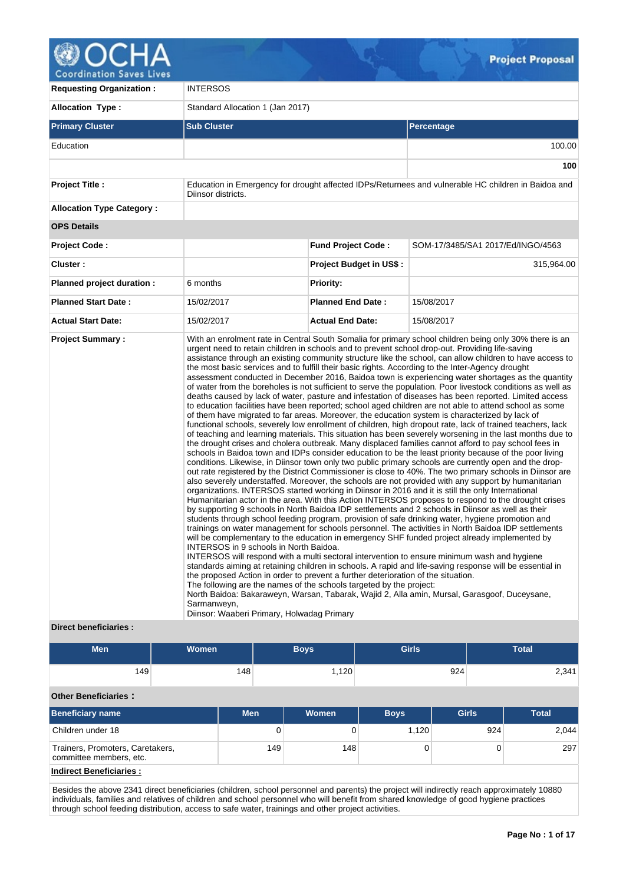

**Requesting Organization :** INTERSOS **Allocation Type :** Standard Allocation 1 (Jan 2017) **Primary Cluster Sub Cluster Sub Cluster** Sub Cluster Sub Cluster Sub Cluster Sub Cluster Sub Cluster Sub Cluster Education 100.00 **100 Project Title :** Education in Emergency for drought affected IDPs/Returnees and vulnerable HC children in Baidoa and Diinsor districts. **Allocation Type Category : OPS Details Project Code : Fund Project Code :** SOM-17/3485/SA1 2017/Ed/INGO/4563 **Cluster : Project Budget in US\$ :** 315,964.00 **Planned project duration :** 6 months **Planned Priority: Planned Start Date :** 15/02/2017 **Planned End Date :** 15/08/2017 **Actual Start Date:** 15/02/2017 **Actual End Date:** 15/08/2017 **Project Summary :** With an enrolment rate in Central South Somalia for primary school children being only 30% there is an urgent need to retain children in schools and to prevent school drop-out. Providing life-saving assistance through an existing community structure like the school, can allow children to have access to the most basic services and to fulfill their basic rights. According to the Inter-Agency drought assessment conducted in December 2016, Baidoa town is experiencing water shortages as the quantity of water from the boreholes is not sufficient to serve the population. Poor livestock conditions as well as deaths caused by lack of water, pasture and infestation of diseases has been reported. Limited access to education facilities have been reported; school aged children are not able to attend school as some of them have migrated to far areas. Moreover, the education system is characterized by lack of functional schools, severely low enrollment of children, high dropout rate, lack of trained teachers, lack of teaching and learning materials. This situation has been severely worsening in the last months due to the drought crises and cholera outbreak. Many displaced families cannot afford to pay school fees in schools in Baidoa town and IDPs consider education to be the least priority because of the poor living conditions. Likewise, in Diinsor town only two public primary schools are currently open and the dropout rate registered by the District Commissioner is close to 40%. The two primary schools in Diinsor are also severely understaffed. Moreover, the schools are not provided with any support by humanitarian organizations. INTERSOS started working in Diinsor in 2016 and it is still the only International Humanitarian actor in the area. With this Action INTERSOS proposes to respond to the drought crises by supporting 9 schools in North Baidoa IDP settlements and 2 schools in Diinsor as well as their students through school feeding program, provision of safe drinking water, hygiene promotion and trainings on water management for schools personnel. The activities in North Baidoa IDP settlements will be complementary to the education in emergency SHF funded project already implemented by INTERSOS in 9 schools in North Baidoa. INTERSOS will respond with a multi sectoral intervention to ensure minimum wash and hygiene standards aiming at retaining children in schools. A rapid and life-saving response will be essential in the proposed Action in order to prevent a further deterioration of the situation. The following are the names of the schools targeted by the project: North Baidoa: Bakaraweyn, Warsan, Tabarak, Wajid 2, Alla amin, Mursal, Garasgoof, Duceysane, Sarmanweyn, Diinsor: Waaberi Primary, Holwadag Primary

## **Direct beneficiaries :**

| Men | <b>Women</b> | Boys | <b>Girls</b> | <b>Total</b> |
|-----|--------------|------|--------------|--------------|
| 149 | 148          | ,120 | 924          | 2,341        |

# **Other Beneficiaries :**

| <b>Beneficiary name</b>                                     | <b>Men</b> | <b>Women</b> | <b>Boys</b> | <b>Girls</b> | Total |
|-------------------------------------------------------------|------------|--------------|-------------|--------------|-------|
| Children under 18                                           | 0          |              | 1.120       | 924          | 2,044 |
| Trainers, Promoters, Caretakers,<br>committee members, etc. | 149        | 148          |             |              | 297   |
| Indirect Beneficiaries:                                     |            |              |             |              |       |

Besides the above 2341 direct beneficiaries (children, school personnel and parents) the project will indirectly reach approximately 10880 individuals, families and relatives of children and school personnel who will benefit from shared knowledge of good hygiene practices through school feeding distribution, access to safe water, trainings and other project activities.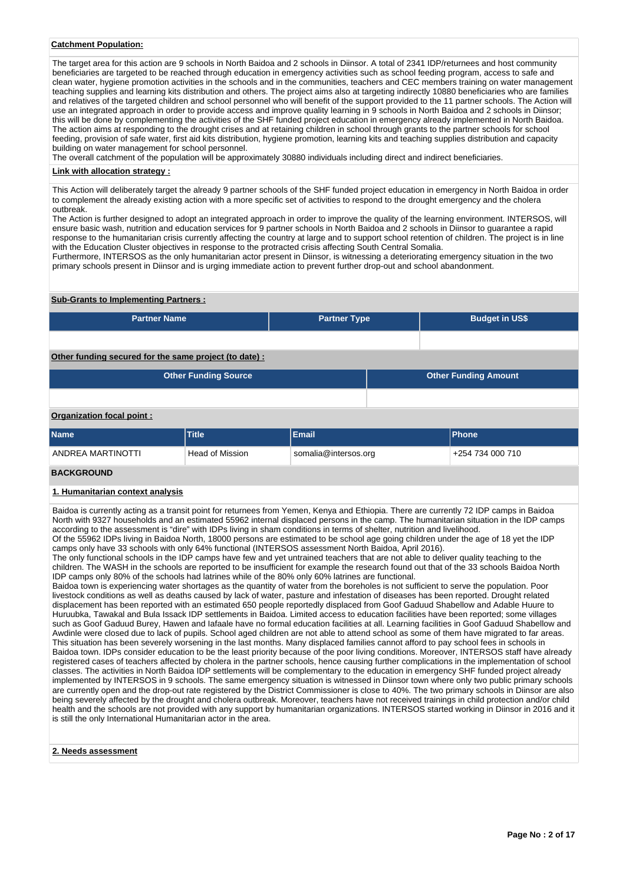## **Catchment Population:**

The target area for this action are 9 schools in North Baidoa and 2 schools in Diinsor. A total of 2341 IDP/returnees and host community beneficiaries are targeted to be reached through education in emergency activities such as school feeding program, access to safe and clean water, hygiene promotion activities in the schools and in the communities, teachers and CEC members training on water management teaching supplies and learning kits distribution and others. The project aims also at targeting indirectly 10880 beneficiaries who are families and relatives of the targeted children and school personnel who will benefit of the support provided to the 11 partner schools. The Action will use an integrated approach in order to provide access and improve quality learning in 9 schools in North Baidoa and 2 schools in Diinsor; this will be done by complementing the activities of the SHF funded project education in emergency already implemented in North Baidoa. The action aims at responding to the drought crises and at retaining children in school through grants to the partner schools for school feeding, provision of safe water, first aid kits distribution, hygiene promotion, learning kits and teaching supplies distribution and capacity building on water management for school personnel.

The overall catchment of the population will be approximately 30880 individuals including direct and indirect beneficiaries.

#### **Link with allocation strategy :**

This Action will deliberately target the already 9 partner schools of the SHF funded project education in emergency in North Baidoa in order to complement the already existing action with a more specific set of activities to respond to the drought emergency and the cholera outbreak.

The Action is further designed to adopt an integrated approach in order to improve the quality of the learning environment. INTERSOS, will ensure basic wash, nutrition and education services for 9 partner schools in North Baidoa and 2 schools in Diinsor to guarantee a rapid response to the humanitarian crisis currently affecting the country at large and to support school retention of children. The project is in line with the Education Cluster objectives in response to the protracted crisis affecting South Central Somalia.

Furthermore, INTERSOS as the only humanitarian actor present in Diinsor, is witnessing a deteriorating emergency situation in the two primary schools present in Diinsor and is urging immediate action to prevent further drop-out and school abandonment.

### **Sub-Grants to Implementing Partners :**

| <b>Partner Name</b>                                   |                             | <b>Partner Type</b>  |                             |  | <b>Budget in US\$</b> |  |  |  |  |  |
|-------------------------------------------------------|-----------------------------|----------------------|-----------------------------|--|-----------------------|--|--|--|--|--|
|                                                       |                             |                      |                             |  |                       |  |  |  |  |  |
| Other funding secured for the same project (to date): |                             |                      |                             |  |                       |  |  |  |  |  |
|                                                       | <b>Other Funding Source</b> |                      | <b>Other Funding Amount</b> |  |                       |  |  |  |  |  |
|                                                       |                             |                      |                             |  |                       |  |  |  |  |  |
| Organization focal point:                             |                             |                      |                             |  |                       |  |  |  |  |  |
| <b>Name</b>                                           | <b>Title</b>                | Email                |                             |  | <b>Phone</b>          |  |  |  |  |  |
| ANDREA MARTINOTTI                                     | <b>Head of Mission</b>      | somalia@intersos.org |                             |  | +254 734 000 710      |  |  |  |  |  |

## **BACKGROUND**

#### **1. Humanitarian context analysis**

Baidoa is currently acting as a transit point for returnees from Yemen, Kenya and Ethiopia. There are currently 72 IDP camps in Baidoa North with 9327 households and an estimated 55962 internal displaced persons in the camp. The humanitarian situation in the IDP camps according to the assessment is "dire" with IDPs living in sham conditions in terms of shelter, nutrition and livelihood.

Of the 55962 IDPs living in Baidoa North, 18000 persons are estimated to be school age going children under the age of 18 yet the IDP camps only have 33 schools with only 64% functional (INTERSOS assessment North Baidoa, April 2016).

The only functional schools in the IDP camps have few and yet untrained teachers that are not able to deliver quality teaching to the children. The WASH in the schools are reported to be insufficient for example the research found out that of the 33 schools Baidoa North IDP camps only 80% of the schools had latrines while of the 80% only 60% latrines are functional.

Baidoa town is experiencing water shortages as the quantity of water from the boreholes is not sufficient to serve the population. Poor livestock conditions as well as deaths caused by lack of water, pasture and infestation of diseases has been reported. Drought related displacement has been reported with an estimated 650 people reportedly displaced from Goof Gaduud Shabellow and Adable Huure to Huruubka, Tawakal and Bula Issack IDP settlements in Baidoa. Limited access to education facilities have been reported; some villages such as Goof Gaduud Burey, Hawen and Iafaale have no formal education facilities at all. Learning facilities in Goof Gaduud Shabellow and Awdinle were closed due to lack of pupils. School aged children are not able to attend school as some of them have migrated to far areas. This situation has been severely worsening in the last months. Many displaced families cannot afford to pay school fees in schools in Baidoa town. IDPs consider education to be the least priority because of the poor living conditions. Moreover, INTERSOS staff have already registered cases of teachers affected by cholera in the partner schools, hence causing further complications in the implementation of school classes. The activities in North Baidoa IDP settlements will be complementary to the education in emergency SHF funded project already implemented by INTERSOS in 9 schools. The same emergency situation is witnessed in Diinsor town where only two public primary schools are currently open and the drop-out rate registered by the District Commissioner is close to 40%. The two primary schools in Diinsor are also being severely affected by the drought and cholera outbreak. Moreover, teachers have not received trainings in child protection and/or child health and the schools are not provided with any support by humanitarian organizations. INTERSOS started working in Diinsor in 2016 and it is still the only International Humanitarian actor in the area.

## **2. Needs assessment**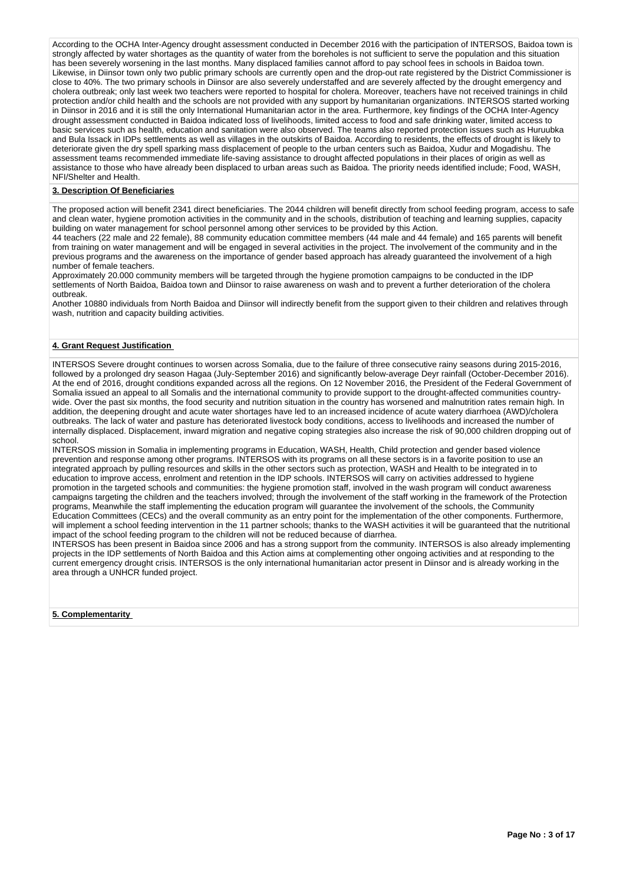According to the OCHA Inter-Agency drought assessment conducted in December 2016 with the participation of INTERSOS, Baidoa town is strongly affected by water shortages as the quantity of water from the boreholes is not sufficient to serve the population and this situation has been severely worsening in the last months. Many displaced families cannot afford to pay school fees in schools in Baidoa town. Likewise, in Diinsor town only two public primary schools are currently open and the drop-out rate registered by the District Commissioner is close to 40%. The two primary schools in Diinsor are also severely understaffed and are severely affected by the drought emergency and cholera outbreak; only last week two teachers were reported to hospital for cholera. Moreover, teachers have not received trainings in child protection and/or child health and the schools are not provided with any support by humanitarian organizations. INTERSOS started working in Diinsor in 2016 and it is still the only International Humanitarian actor in the area. Furthermore, key findings of the OCHA Inter-Agency drought assessment conducted in Baidoa indicated loss of livelihoods, limited access to food and safe drinking water, limited access to basic services such as health, education and sanitation were also observed. The teams also reported protection issues such as Huruubka and Bula Issack in IDPs settlements as well as villages in the outskirts of Baidoa. According to residents, the effects of drought is likely to deteriorate given the dry spell sparking mass displacement of people to the urban centers such as Baidoa, Xudur and Mogadishu. The assessment teams recommended immediate life-saving assistance to drought affected populations in their places of origin as well as assistance to those who have already been displaced to urban areas such as Baidoa. The priority needs identified include; Food, WASH, NFI/Shelter and Health.

## **3. Description Of Beneficiaries**

The proposed action will benefit 2341 direct beneficiaries. The 2044 children will benefit directly from school feeding program, access to safe and clean water, hygiene promotion activities in the community and in the schools, distribution of teaching and learning supplies, capacity building on water management for school personnel among other services to be provided by this Action.

44 teachers (22 male and 22 female), 88 community education committee members (44 male and 44 female) and 165 parents will benefit from training on water management and will be engaged in several activities in the project. The involvement of the community and in the previous programs and the awareness on the importance of gender based approach has already guaranteed the involvement of a high number of female teachers.

Approximately 20.000 community members will be targeted through the hygiene promotion campaigns to be conducted in the IDP settlements of North Baidoa, Baidoa town and Diinsor to raise awareness on wash and to prevent a further deterioration of the cholera outbreak.

Another 10880 individuals from North Baidoa and Diinsor will indirectly benefit from the support given to their children and relatives through wash, nutrition and capacity building activities.

## **4. Grant Request Justification**

INTERSOS Severe drought continues to worsen across Somalia, due to the failure of three consecutive rainy seasons during 2015-2016, followed by a prolonged dry season Hagaa (July-September 2016) and significantly below-average Deyr rainfall (October-December 2016). At the end of 2016, drought conditions expanded across all the regions. On 12 November 2016, the President of the Federal Government of Somalia issued an appeal to all Somalis and the international community to provide support to the drought-affected communities countrywide. Over the past six months, the food security and nutrition situation in the country has worsened and malnutrition rates remain high. In addition, the deepening drought and acute water shortages have led to an increased incidence of acute watery diarrhoea (AWD)/cholera outbreaks. The lack of water and pasture has deteriorated livestock body conditions, access to livelihoods and increased the number of internally displaced. Displacement, inward migration and negative coping strategies also increase the risk of 90,000 children dropping out of school.

INTERSOS mission in Somalia in implementing programs in Education, WASH, Health, Child protection and gender based violence prevention and response among other programs. INTERSOS with its programs on all these sectors is in a favorite position to use an integrated approach by pulling resources and skills in the other sectors such as protection, WASH and Health to be integrated in to education to improve access, enrolment and retention in the IDP schools. INTERSOS will carry on activities addressed to hygiene promotion in the targeted schools and communities: the hygiene promotion staff, involved in the wash program will conduct awareness campaigns targeting the children and the teachers involved; through the involvement of the staff working in the framework of the Protection programs, Meanwhile the staff implementing the education program will guarantee the involvement of the schools, the Community Education Committees (CECs) and the overall community as an entry point for the implementation of the other components. Furthermore, will implement a school feeding intervention in the 11 partner schools; thanks to the WASH activities it will be quaranteed that the nutritional impact of the school feeding program to the children will not be reduced because of diarrhea.

INTERSOS has been present in Baidoa since 2006 and has a strong support from the community. INTERSOS is also already implementing projects in the IDP settlements of North Baidoa and this Action aims at complementing other ongoing activities and at responding to the current emergency drought crisis. INTERSOS is the only international humanitarian actor present in Diinsor and is already working in the area through a UNHCR funded project.

## **5. Complementarity**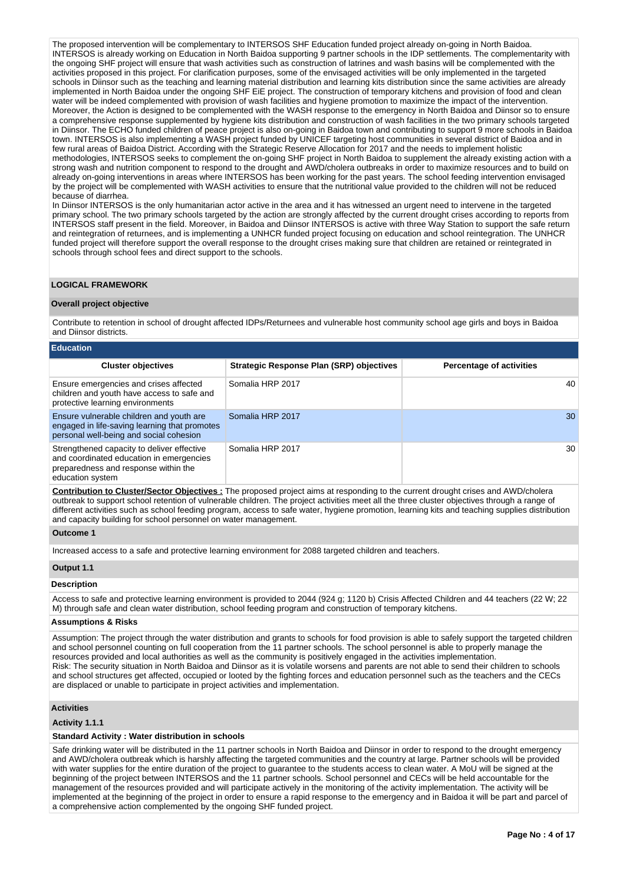The proposed intervention will be complementary to INTERSOS SHF Education funded project already on-going in North Baidoa. INTERSOS is already working on Education in North Baidoa supporting 9 partner schools in the IDP settlements. The complementarity with the ongoing SHF project will ensure that wash activities such as construction of latrines and wash basins will be complemented with the activities proposed in this project. For clarification purposes, some of the envisaged activities will be only implemented in the targeted schools in Diinsor such as the teaching and learning material distribution and learning kits distribution since the same activities are already implemented in North Baidoa under the ongoing SHF EiE project. The construction of temporary kitchens and provision of food and clean water will be indeed complemented with provision of wash facilities and hygiene promotion to maximize the impact of the intervention. Moreover, the Action is designed to be complemented with the WASH response to the emergency in North Baidoa and Diinsor so to ensure a comprehensive response supplemented by hygiene kits distribution and construction of wash facilities in the two primary schools targeted in Diinsor. The ECHO funded children of peace project is also on-going in Baidoa town and contributing to support 9 more schools in Baidoa town. INTERSOS is also implementing a WASH project funded by UNICEF targeting host communities in several district of Baidoa and in few rural areas of Baidoa District. According with the Strategic Reserve Allocation for 2017 and the needs to implement holistic methodologies, INTERSOS seeks to complement the on-going SHF project in North Baidoa to supplement the already existing action with a strong wash and nutrition component to respond to the drought and AWD/cholera outbreaks in order to maximize resources and to build on already on-going interventions in areas where INTERSOS has been working for the past years. The school feeding intervention envisaged by the project will be complemented with WASH activities to ensure that the nutritional value provided to the children will not be reduced because of diarrhea.

In Diinsor INTERSOS is the only humanitarian actor active in the area and it has witnessed an urgent need to intervene in the targeted primary school. The two primary schools targeted by the action are strongly affected by the current drought crises according to reports from INTERSOS staff present in the field. Moreover, in Baidoa and Diinsor INTERSOS is active with three Way Station to support the safe return and reintegration of returnees, and is implementing a UNHCR funded project focusing on education and school reintegration. The UNHCR funded project will therefore support the overall response to the drought crises making sure that children are retained or reintegrated in schools through school fees and direct support to the schools.

## **LOGICAL FRAMEWORK**

## **Overall project objective**

Contribute to retention in school of drought affected IDPs/Returnees and vulnerable host community school age girls and boys in Baidoa and Diinsor districts.

| <b>Education</b>                                                                                                                                   |                                                 |                                 |
|----------------------------------------------------------------------------------------------------------------------------------------------------|-------------------------------------------------|---------------------------------|
| <b>Cluster objectives</b>                                                                                                                          | <b>Strategic Response Plan (SRP) objectives</b> | <b>Percentage of activities</b> |
| Ensure emergencies and crises affected<br>children and youth have access to safe and<br>protective learning environments                           | Somalia HRP 2017                                | 40                              |
| Ensure vulnerable children and youth are<br>engaged in life-saving learning that promotes<br>personal well-being and social cohesion               | Somalia HRP 2017                                | 30                              |
| Strengthened capacity to deliver effective<br>and coordinated education in emergencies<br>preparedness and response within the<br>education system | Somalia HRP 2017                                | 30                              |

**Contribution to Cluster/Sector Objectives :** The proposed project aims at responding to the current drought crises and AWD/cholera outbreak to support school retention of vulnerable children. The project activities meet all the three cluster objectives through a range of different activities such as school feeding program, access to safe water, hygiene promotion, learning kits and teaching supplies distribution and capacity building for school personnel on water management.

#### **Outcome 1**

Increased access to a safe and protective learning environment for 2088 targeted children and teachers.

#### **Output 1.1**

# **Description**

Access to safe and protective learning environment is provided to 2044 (924 g; 1120 b) Crisis Affected Children and 44 teachers (22 W; 22 M) through safe and clean water distribution, school feeding program and construction of temporary kitchens.

## **Assumptions & Risks**

Assumption: The project through the water distribution and grants to schools for food provision is able to safely support the targeted children and school personnel counting on full cooperation from the 11 partner schools. The school personnel is able to properly manage the resources provided and local authorities as well as the community is positively engaged in the activities implementation. Risk: The security situation in North Baidoa and Diinsor as it is volatile worsens and parents are not able to send their children to schools and school structures get affected, occupied or looted by the fighting forces and education personnel such as the teachers and the CECs are displaced or unable to participate in project activities and implementation.

## **Activities**

### **Activity 1.1.1**

## **Standard Activity : Water distribution in schools**

Safe drinking water will be distributed in the 11 partner schools in North Baidoa and Diinsor in order to respond to the drought emergency and AWD/cholera outbreak which is harshly affecting the targeted communities and the country at large. Partner schools will be provided with water supplies for the entire duration of the project to guarantee to the students access to clean water. A MoU will be signed at the beginning of the project between INTERSOS and the 11 partner schools. School personnel and CECs will be held accountable for the management of the resources provided and will participate actively in the monitoring of the activity implementation. The activity will be implemented at the beginning of the project in order to ensure a rapid response to the emergency and in Baidoa it will be part and parcel of a comprehensive action complemented by the ongoing SHF funded project.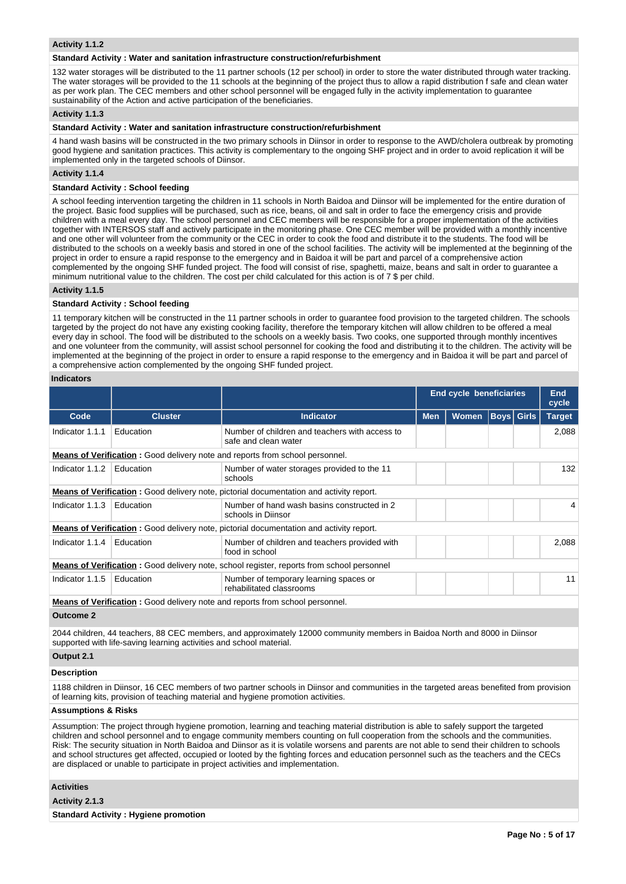### **Activity 1.1.2**

#### **Standard Activity : Water and sanitation infrastructure construction/refurbishment**

132 water storages will be distributed to the 11 partner schools (12 per school) in order to store the water distributed through water tracking. The water storages will be provided to the 11 schools at the beginning of the project thus to allow a rapid distribution f safe and clean water as per work plan. The CEC members and other school personnel will be engaged fully in the activity implementation to guarantee sustainability of the Action and active participation of the beneficiaries.

#### **Activity 1.1.3**

#### **Standard Activity : Water and sanitation infrastructure construction/refurbishment**

4 hand wash basins will be constructed in the two primary schools in Diinsor in order to response to the AWD/cholera outbreak by promoting good hygiene and sanitation practices. This activity is complementary to the ongoing SHF project and in order to avoid replication it will be implemented only in the targeted schools of Diinsor.

#### **Activity 1.1.4**

#### **Standard Activity : School feeding**

A school feeding intervention targeting the children in 11 schools in North Baidoa and Diinsor will be implemented for the entire duration of the project. Basic food supplies will be purchased, such as rice, beans, oil and salt in order to face the emergency crisis and provide children with a meal every day. The school personnel and CEC members will be responsible for a proper implementation of the activities together with INTERSOS staff and actively participate in the monitoring phase. One CEC member will be provided with a monthly incentive and one other will volunteer from the community or the CEC in order to cook the food and distribute it to the students. The food will be distributed to the schools on a weekly basis and stored in one of the school facilities. The activity will be implemented at the beginning of the project in order to ensure a rapid response to the emergency and in Baidoa it will be part and parcel of a comprehensive action complemented by the ongoing SHF funded project. The food will consist of rise, spaghetti, maize, beans and salt in order to guarantee a minimum nutritional value to the children. The cost per child calculated for this action is of 7 \$ per child.

#### **Activity 1.1.5**

## **Standard Activity : School feeding**

11 temporary kitchen will be constructed in the 11 partner schools in order to guarantee food provision to the targeted children. The schools targeted by the project do not have any existing cooking facility, therefore the temporary kitchen will allow children to be offered a meal every day in school. The food will be distributed to the schools on a weekly basis. Two cooks, one supported through monthly incentives and one volunteer from the community, will assist school personnel for cooking the food and distributing it to the children. The activity will be implemented at the beginning of the project in order to ensure a rapid response to the emergency and in Baidoa it will be part and parcel of a comprehensive action complemented by the ongoing SHF funded project.

#### **Indicators**

|                 |                |                                                                                                  |            | End cycle beneficiaries |  |                   | <b>End</b><br>cycle |
|-----------------|----------------|--------------------------------------------------------------------------------------------------|------------|-------------------------|--|-------------------|---------------------|
| Code            | <b>Cluster</b> | <b>Indicator</b>                                                                                 | <b>Men</b> | <b>Women</b>            |  | <b>Boys</b> Girls | <b>Target</b>       |
| Indicator 1.1.1 | Education      | Number of children and teachers with access to<br>safe and clean water                           |            |                         |  |                   | 2,088               |
|                 |                | <b>Means of Verification:</b> Good delivery note and reports from school personnel.              |            |                         |  |                   |                     |
| Indicator 1.1.2 | Education      | Number of water storages provided to the 11<br>schools                                           |            |                         |  |                   | 132                 |
|                 |                | <b>Means of Verification:</b> Good delivery note, pictorial documentation and activity report.   |            |                         |  |                   |                     |
| Indicator 1.1.3 | Education      | Number of hand wash basins constructed in 2<br>schools in Diinsor                                |            |                         |  |                   | 4                   |
|                 |                | <b>Means of Verification:</b> Good delivery note, pictorial documentation and activity report.   |            |                         |  |                   |                     |
| Indicator 1.1.4 | Education      | Number of children and teachers provided with<br>food in school                                  |            |                         |  |                   | 2,088               |
|                 |                | <b>Means of Verification:</b> Good delivery note, school register, reports from school personnel |            |                         |  |                   |                     |
| Indicator 1.1.5 | Education      | Number of temporary learning spaces or<br>rehabilitated classrooms                               |            |                         |  | 11                |                     |
|                 |                | <b>Means of Verification:</b> Good delivery note and reports from school personnel.              |            |                         |  |                   |                     |

**Outcome 2**

2044 children, 44 teachers, 88 CEC members, and approximately 12000 community members in Baidoa North and 8000 in Diinsor supported with life-saving learning activities and school material.

## **Output 2.1**

## **Description**

1188 children in Diinsor, 16 CEC members of two partner schools in Diinsor and communities in the targeted areas benefited from provision of learning kits, provision of teaching material and hygiene promotion activities.

#### **Assumptions & Risks**

Assumption: The project through hygiene promotion, learning and teaching material distribution is able to safely support the targeted children and school personnel and to engage community members counting on full cooperation from the schools and the communities. Risk: The security situation in North Baidoa and Diinsor as it is volatile worsens and parents are not able to send their children to schools and school structures get affected, occupied or looted by the fighting forces and education personnel such as the teachers and the CECs are displaced or unable to participate in project activities and implementation.

## **Activities**

## **Activity 2.1.3**

**Standard Activity : Hygiene promotion**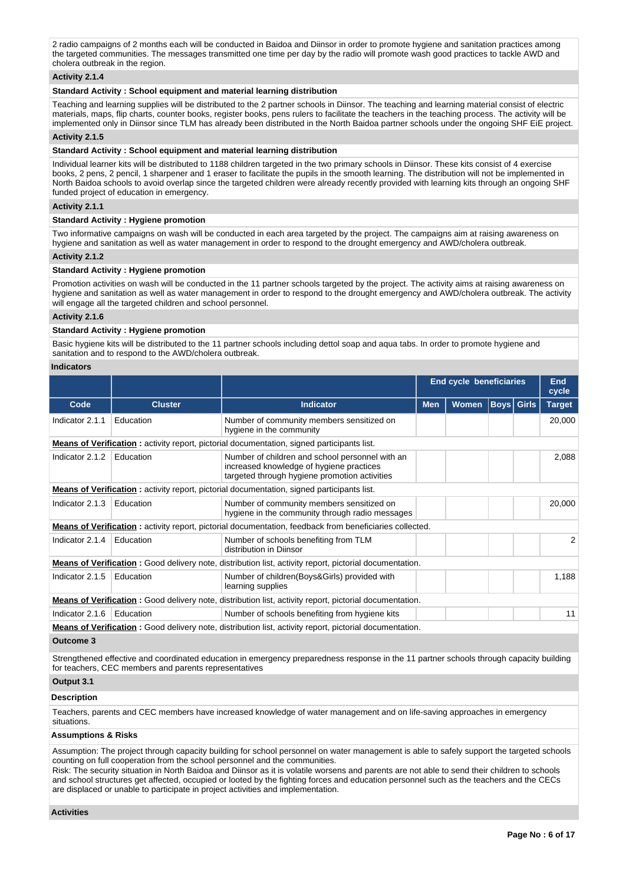2 radio campaigns of 2 months each will be conducted in Baidoa and Diinsor in order to promote hygiene and sanitation practices among the targeted communities. The messages transmitted one time per day by the radio will promote wash good practices to tackle AWD and cholera outbreak in the region.

## **Activity 2.1.4**

## **Standard Activity : School equipment and material learning distribution**

Teaching and learning supplies will be distributed to the 2 partner schools in Diinsor. The teaching and learning material consist of electric materials, maps, flip charts, counter books, register books, pens rulers to facilitate the teachers in the teaching process. The activity will be implemented only in Diinsor since TLM has already been distributed in the North Baidoa partner schools under the ongoing SHF EiE project.

#### **Activity 2.1.5**

## **Standard Activity : School equipment and material learning distribution**

Individual learner kits will be distributed to 1188 children targeted in the two primary schools in Diinsor. These kits consist of 4 exercise books, 2 pens, 2 pencil, 1 sharpener and 1 eraser to facilitate the pupils in the smooth learning. The distribution will not be implemented in North Baidoa schools to avoid overlap since the targeted children were already recently provided with learning kits through an ongoing SHF funded project of education in emergency.

## **Activity 2.1.1**

#### **Standard Activity : Hygiene promotion**

Two informative campaigns on wash will be conducted in each area targeted by the project. The campaigns aim at raising awareness on hygiene and sanitation as well as water management in order to respond to the drought emergency and AWD/cholera outbreak.

### **Activity 2.1.2**

### **Standard Activity : Hygiene promotion**

Promotion activities on wash will be conducted in the 11 partner schools targeted by the project. The activity aims at raising awareness on hygiene and sanitation as well as water management in order to respond to the drought emergency and AWD/cholera outbreak. The activity will engage all the targeted children and school personnel.

# **Activity 2.1.6**

## **Standard Activity : Hygiene promotion**

Basic hygiene kits will be distributed to the 11 partner schools including dettol soap and aqua tabs. In order to promote hygiene and sanitation and to respond to the AWD/cholera outbreak.

#### **Indicators**

|                                                                                                                |                |                                                                                                                                              | <b>End cycle beneficiaries</b> |              |    |                   | <b>End</b><br>cycle |
|----------------------------------------------------------------------------------------------------------------|----------------|----------------------------------------------------------------------------------------------------------------------------------------------|--------------------------------|--------------|----|-------------------|---------------------|
| Code                                                                                                           | <b>Cluster</b> | <b>Indicator</b>                                                                                                                             | <b>Men</b>                     | <b>Women</b> |    | <b>Boys</b> Girls | <b>Target</b>       |
| Indicator 2.1.1                                                                                                | Education      | Number of community members sensitized on<br>hygiene in the community                                                                        |                                |              |    |                   | 20,000              |
|                                                                                                                |                | <b>Means of Verification:</b> activity report, pictorial documentation, signed participants list.                                            |                                |              |    |                   |                     |
| Indicator 2.1.2                                                                                                | Education      | Number of children and school personnel with an<br>increased knowledge of hygiene practices<br>targeted through hygiene promotion activities |                                |              |    |                   | 2,088               |
| <b>Means of Verification:</b> activity report, pictorial documentation, signed participants list.              |                |                                                                                                                                              |                                |              |    |                   |                     |
| Indicator 2.1.3                                                                                                | Education      | Number of community members sensitized on<br>hygiene in the community through radio messages                                                 |                                |              |    |                   | 20,000              |
|                                                                                                                |                | <b>Means of Verification:</b> activity report, pictorial documentation, feedback from beneficiaries collected.                               |                                |              |    |                   |                     |
| Indicator 2.1.4                                                                                                | Education      | Number of schools benefiting from TLM<br>distribution in Diinsor                                                                             |                                |              |    |                   | 2                   |
|                                                                                                                |                | <b>Means of Verification:</b> Good delivery note, distribution list, activity report, pictorial documentation.                               |                                |              |    |                   |                     |
| Indicator 2.1.5                                                                                                | Education      | Number of children (Boys&Girls) provided with<br>learning supplies                                                                           |                                |              |    |                   | 1,188               |
| <b>Means of Verification:</b> Good delivery note, distribution list, activity report, pictorial documentation. |                |                                                                                                                                              |                                |              |    |                   |                     |
| Indicator 2.1.6                                                                                                | Education      | Number of schools benefiting from hygiene kits                                                                                               |                                |              | 11 |                   |                     |
|                                                                                                                |                | <b>Means of Verification:</b> Good delivery note, distribution list, activity report, pictorial documentation.                               |                                |              |    |                   |                     |
| $A - 1 - 1 = 0$                                                                                                |                |                                                                                                                                              |                                |              |    |                   |                     |

#### **Outcome 3**

Strengthened effective and coordinated education in emergency preparedness response in the 11 partner schools through capacity building for teachers, CEC members and parents representatives

# **Output 3.1**

## **Description**

Teachers, parents and CEC members have increased knowledge of water management and on life-saving approaches in emergency situations.

#### **Assumptions & Risks**

Assumption: The project through capacity building for school personnel on water management is able to safely support the targeted schools counting on full cooperation from the school personnel and the communities.

Risk: The security situation in North Baidoa and Diinsor as it is volatile worsens and parents are not able to send their children to schools and school structures get affected, occupied or looted by the fighting forces and education personnel such as the teachers and the CECs are displaced or unable to participate in project activities and implementation.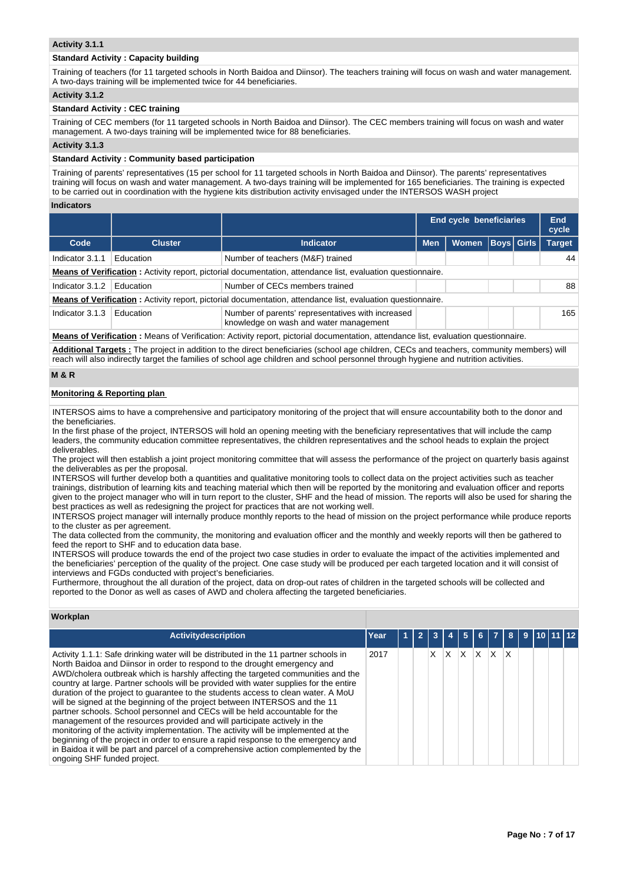## **Activity 3.1.1**

## **Standard Activity : Capacity building**

Training of teachers (for 11 targeted schools in North Baidoa and Diinsor). The teachers training will focus on wash and water management. A two-days training will be implemented twice for 44 beneficiaries.

## **Activity 3.1.2**

# **Standard Activity : CEC training**

Training of CEC members (for 11 targeted schools in North Baidoa and Diinsor). The CEC members training will focus on wash and water management. A two-days training will be implemented twice for 88 beneficiaries.

#### **Activity 3.1.3**

#### **Standard Activity : Community based participation**

Training of parents' representatives (15 per school for 11 targeted schools in North Baidoa and Diinsor). The parents' representatives training will focus on wash and water management. A two-days training will be implemented for 165 beneficiaries. The training is expected to be carried out in coordination with the hygiene kits distribution activity envisaged under the INTERSOS WASH project

#### **Indicators**

|                                                                                                                    |                |                                                                                                                     | <b>End cycle beneficiaries</b> |       |                   | End<br>cycle |               |
|--------------------------------------------------------------------------------------------------------------------|----------------|---------------------------------------------------------------------------------------------------------------------|--------------------------------|-------|-------------------|--------------|---------------|
| Code                                                                                                               | <b>Cluster</b> | <b>Indicator</b>                                                                                                    | <b>Men</b>                     | Women | <b>Boys Girls</b> |              | <b>Target</b> |
| Indicator 3.1.1                                                                                                    | Education      | Number of teachers (M&F) trained                                                                                    |                                |       |                   |              | 44            |
| <b>Means of Verification:</b> Activity report, pictorial documentation, attendance list, evaluation questionnaire. |                |                                                                                                                     |                                |       |                   |              |               |
| Indicator 3.1.2                                                                                                    | Education      | Number of CECs members trained                                                                                      |                                |       |                   |              | 88            |
|                                                                                                                    |                | <b>Means of Verification</b> : Activity report, pictorial documentation, attendance list, evaluation questionnaire. |                                |       |                   |              |               |
| Indicator 3.1.3                                                                                                    | Education      | Number of parents' representatives with increased<br>knowledge on wash and water management                         |                                |       |                   | 165          |               |
|                                                                                                                    |                |                                                                                                                     |                                |       |                   |              |               |

**Means of Verification :** Means of Verification: Activity report, pictorial documentation, attendance list, evaluation questionnaire.

**Additional Targets :** The project in addition to the direct beneficiaries (school age children, CECs and teachers, community members) will reach will also indirectly target the families of school age children and school personnel through hygiene and nutrition activities.

## **M & R**

## **Monitoring & Reporting plan**

INTERSOS aims to have a comprehensive and participatory monitoring of the project that will ensure accountability both to the donor and the beneficiaries.

In the first phase of the project, INTERSOS will hold an opening meeting with the beneficiary representatives that will include the camp leaders, the community education committee representatives, the children representatives and the school heads to explain the project deliverables.

The project will then establish a joint project monitoring committee that will assess the performance of the project on quarterly basis against the deliverables as per the proposal.

INTERSOS will further develop both a quantities and qualitative monitoring tools to collect data on the project activities such as teacher trainings, distribution of learning kits and teaching material which then will be reported by the monitoring and evaluation officer and reports given to the project manager who will in turn report to the cluster, SHF and the head of mission. The reports will also be used for sharing the best practices as well as redesigning the project for practices that are not working well.

INTERSOS project manager will internally produce monthly reports to the head of mission on the project performance while produce reports to the cluster as per agreement.

The data collected from the community, the monitoring and evaluation officer and the monthly and weekly reports will then be gathered to feed the report to SHF and to education data base.

INTERSOS will produce towards the end of the project two case studies in order to evaluate the impact of the activities implemented and the beneficiaries' perception of the quality of the project. One case study will be produced per each targeted location and it will consist of interviews and FGDs conducted with project's beneficiaries.

Furthermore, throughout the all duration of the project, data on drop-out rates of children in the targeted schools will be collected and reported to the Donor as well as cases of AWD and cholera affecting the targeted beneficiaries.

## **Workplan**

| <b>Activitydescription</b>                                                                                                                                                                                                                                                                                                                                                                                                                                                                                                                                                                                                                                                                                                                                                                                                                                                                                                                                                    | Year | -2 | 3 |   | 5 | 6 I | $\overline{7}$ | 8 | 9110 |  |
|-------------------------------------------------------------------------------------------------------------------------------------------------------------------------------------------------------------------------------------------------------------------------------------------------------------------------------------------------------------------------------------------------------------------------------------------------------------------------------------------------------------------------------------------------------------------------------------------------------------------------------------------------------------------------------------------------------------------------------------------------------------------------------------------------------------------------------------------------------------------------------------------------------------------------------------------------------------------------------|------|----|---|---|---|-----|----------------|---|------|--|
| Activity 1.1.1: Safe drinking water will be distributed in the 11 partner schools in<br>North Baidoa and Diinsor in order to respond to the drought emergency and<br>AWD/cholera outbreak which is harshly affecting the targeted communities and the<br>country at large. Partner schools will be provided with water supplies for the entire<br>duration of the project to guarantee to the students access to clean water. A MoU<br>will be signed at the beginning of the project between INTERSOS and the 11<br>partner schools. School personnel and CECs will be held accountable for the<br>management of the resources provided and will participate actively in the<br>monitoring of the activity implementation. The activity will be implemented at the<br>beginning of the project in order to ensure a rapid response to the emergency and<br>in Baidoa it will be part and parcel of a comprehensive action complemented by the<br>ongoing SHF funded project. | 2017 |    | x | X | x | X   | $\mathsf{X}$   | X |      |  |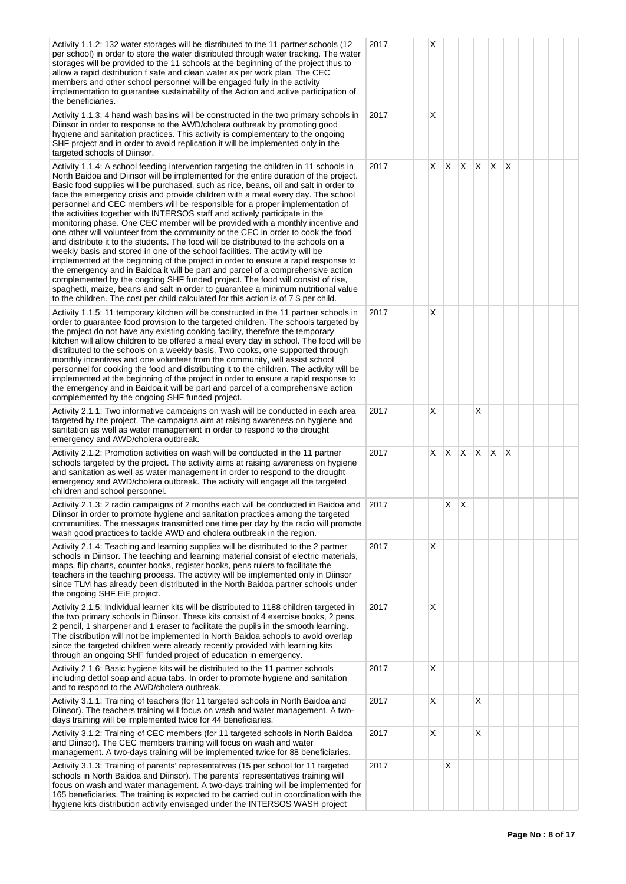| Activity 1.1.2: 132 water storages will be distributed to the 11 partner schools (12<br>per school) in order to store the water distributed through water tracking. The water<br>storages will be provided to the 11 schools at the beginning of the project thus to<br>allow a rapid distribution f safe and clean water as per work plan. The CEC<br>members and other school personnel will be engaged fully in the activity<br>implementation to guarantee sustainability of the Action and active participation of<br>the beneficiaries.                                                                                                                                                                                                                                                                                                                                                                                                                                                                                                                                                                                                                                                                                                                                                                    | 2017 | X  |    |          |   |              |   |  |  |
|------------------------------------------------------------------------------------------------------------------------------------------------------------------------------------------------------------------------------------------------------------------------------------------------------------------------------------------------------------------------------------------------------------------------------------------------------------------------------------------------------------------------------------------------------------------------------------------------------------------------------------------------------------------------------------------------------------------------------------------------------------------------------------------------------------------------------------------------------------------------------------------------------------------------------------------------------------------------------------------------------------------------------------------------------------------------------------------------------------------------------------------------------------------------------------------------------------------------------------------------------------------------------------------------------------------|------|----|----|----------|---|--------------|---|--|--|
| Activity 1.1.3: 4 hand wash basins will be constructed in the two primary schools in<br>Diinsor in order to response to the AWD/cholera outbreak by promoting good<br>hygiene and sanitation practices. This activity is complementary to the ongoing<br>SHF project and in order to avoid replication it will be implemented only in the<br>targeted schools of Diinsor.                                                                                                                                                                                                                                                                                                                                                                                                                                                                                                                                                                                                                                                                                                                                                                                                                                                                                                                                        | 2017 | X  |    |          |   |              |   |  |  |
| Activity 1.1.4: A school feeding intervention targeting the children in 11 schools in<br>North Baidoa and Diinsor will be implemented for the entire duration of the project.<br>Basic food supplies will be purchased, such as rice, beans, oil and salt in order to<br>face the emergency crisis and provide children with a meal every day. The school<br>personnel and CEC members will be responsible for a proper implementation of<br>the activities together with INTERSOS staff and actively participate in the<br>monitoring phase. One CEC member will be provided with a monthly incentive and<br>one other will volunteer from the community or the CEC in order to cook the food<br>and distribute it to the students. The food will be distributed to the schools on a<br>weekly basis and stored in one of the school facilities. The activity will be<br>implemented at the beginning of the project in order to ensure a rapid response to<br>the emergency and in Baidoa it will be part and parcel of a comprehensive action<br>complemented by the ongoing SHF funded project. The food will consist of rise,<br>spaghetti, maize, beans and salt in order to guarantee a minimum nutritional value<br>to the children. The cost per child calculated for this action is of 7 \$ per child. | 2017 | X. | X  | X        | X | ΙX.          | X |  |  |
| Activity 1.1.5: 11 temporary kitchen will be constructed in the 11 partner schools in<br>order to quarantee food provision to the targeted children. The schools targeted by<br>the project do not have any existing cooking facility, therefore the temporary<br>kitchen will allow children to be offered a meal every day in school. The food will be<br>distributed to the schools on a weekly basis. Two cooks, one supported through<br>monthly incentives and one volunteer from the community, will assist school<br>personnel for cooking the food and distributing it to the children. The activity will be<br>implemented at the beginning of the project in order to ensure a rapid response to<br>the emergency and in Baidoa it will be part and parcel of a comprehensive action<br>complemented by the ongoing SHF funded project.                                                                                                                                                                                                                                                                                                                                                                                                                                                               | 2017 | X  |    |          |   |              |   |  |  |
| Activity 2.1.1: Two informative campaigns on wash will be conducted in each area<br>targeted by the project. The campaigns aim at raising awareness on hygiene and<br>sanitation as well as water management in order to respond to the drought<br>emergency and AWD/cholera outbreak.                                                                                                                                                                                                                                                                                                                                                                                                                                                                                                                                                                                                                                                                                                                                                                                                                                                                                                                                                                                                                           | 2017 | X  |    |          | X |              |   |  |  |
| Activity 2.1.2: Promotion activities on wash will be conducted in the 11 partner<br>schools targeted by the project. The activity aims at raising awareness on hygiene<br>and sanitation as well as water management in order to respond to the drought<br>emergency and AWD/cholera outbreak. The activity will engage all the targeted<br>children and school personnel.                                                                                                                                                                                                                                                                                                                                                                                                                                                                                                                                                                                                                                                                                                                                                                                                                                                                                                                                       | 2017 | X. | X  | $\times$ | X | $\mathsf{X}$ | X |  |  |
| Activity 2.1.3: 2 radio campaigns of 2 months each will be conducted in Baidoa and<br>Diinsor in order to promote hygiene and sanitation practices among the targeted<br>communities. The messages transmitted one time per day by the radio will promote<br>wash good practices to tackle AWD and cholera outbreak in the region.                                                                                                                                                                                                                                                                                                                                                                                                                                                                                                                                                                                                                                                                                                                                                                                                                                                                                                                                                                               | 2017 |    | X. | ΙX       |   |              |   |  |  |
| Activity 2.1.4: Teaching and learning supplies will be distributed to the 2 partner<br>schools in Diinsor. The teaching and learning material consist of electric materials,<br>maps, flip charts, counter books, register books, pens rulers to facilitate the<br>teachers in the teaching process. The activity will be implemented only in Diinsor<br>since TLM has already been distributed in the North Baidoa partner schools under<br>the ongoing SHF EiE project.                                                                                                                                                                                                                                                                                                                                                                                                                                                                                                                                                                                                                                                                                                                                                                                                                                        | 2017 | X  |    |          |   |              |   |  |  |
| Activity 2.1.5: Individual learner kits will be distributed to 1188 children targeted in<br>the two primary schools in Diinsor. These kits consist of 4 exercise books, 2 pens,<br>2 pencil, 1 sharpener and 1 eraser to facilitate the pupils in the smooth learning.<br>The distribution will not be implemented in North Baidoa schools to avoid overlap<br>since the targeted children were already recently provided with learning kits<br>through an ongoing SHF funded project of education in emergency.                                                                                                                                                                                                                                                                                                                                                                                                                                                                                                                                                                                                                                                                                                                                                                                                 | 2017 | X  |    |          |   |              |   |  |  |
| Activity 2.1.6: Basic hygiene kits will be distributed to the 11 partner schools<br>including dettol soap and aqua tabs. In order to promote hygiene and sanitation<br>and to respond to the AWD/cholera outbreak.                                                                                                                                                                                                                                                                                                                                                                                                                                                                                                                                                                                                                                                                                                                                                                                                                                                                                                                                                                                                                                                                                               | 2017 | X  |    |          |   |              |   |  |  |
| Activity 3.1.1: Training of teachers (for 11 targeted schools in North Baidoa and<br>Diinsor). The teachers training will focus on wash and water management. A two-<br>days training will be implemented twice for 44 beneficiaries.                                                                                                                                                                                                                                                                                                                                                                                                                                                                                                                                                                                                                                                                                                                                                                                                                                                                                                                                                                                                                                                                            | 2017 | X  |    |          | X |              |   |  |  |
| Activity 3.1.2: Training of CEC members (for 11 targeted schools in North Baidoa<br>and Diinsor). The CEC members training will focus on wash and water<br>management. A two-days training will be implemented twice for 88 beneficiaries.                                                                                                                                                                                                                                                                                                                                                                                                                                                                                                                                                                                                                                                                                                                                                                                                                                                                                                                                                                                                                                                                       | 2017 | X  |    |          | X |              |   |  |  |
| Activity 3.1.3: Training of parents' representatives (15 per school for 11 targeted<br>schools in North Baidoa and Diinsor). The parents' representatives training will<br>focus on wash and water management. A two-days training will be implemented for<br>165 beneficiaries. The training is expected to be carried out in coordination with the<br>hygiene kits distribution activity envisaged under the INTERSOS WASH project                                                                                                                                                                                                                                                                                                                                                                                                                                                                                                                                                                                                                                                                                                                                                                                                                                                                             | 2017 |    | х  |          |   |              |   |  |  |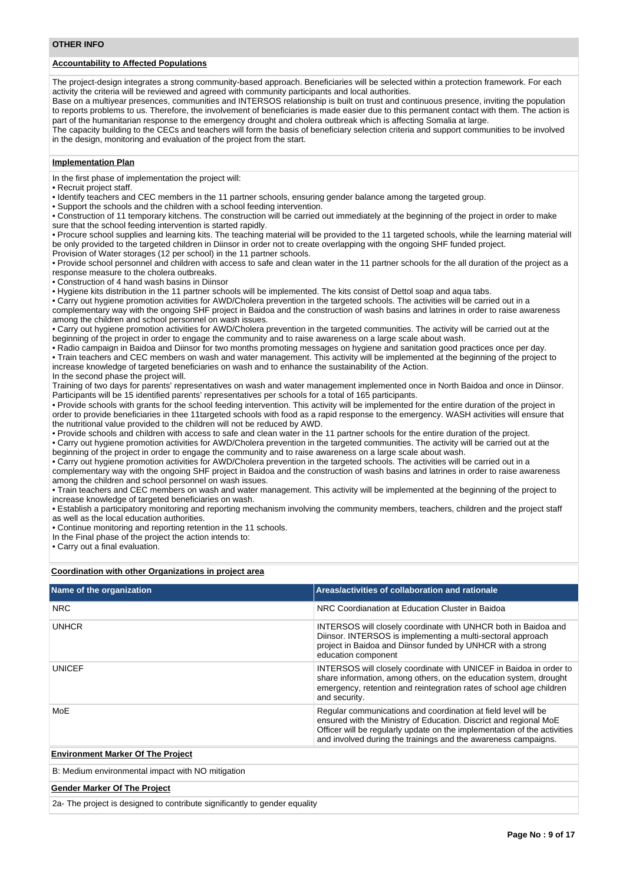#### **OTHER INFO**

# **Accountability to Affected Populations**

The project-design integrates a strong community-based approach. Beneficiaries will be selected within a protection framework. For each activity the criteria will be reviewed and agreed with community participants and local authorities.

Base on a multiyear presences, communities and INTERSOS relationship is built on trust and continuous presence, inviting the population to reports problems to us. Therefore, the involvement of beneficiaries is made easier due to this permanent contact with them. The action is part of the humanitarian response to the emergency drought and cholera outbreak which is affecting Somalia at large.

The capacity building to the CECs and teachers will form the basis of beneficiary selection criteria and support communities to be involved in the design, monitoring and evaluation of the project from the start.

## **Implementation Plan**

In the first phase of implementation the project will:

• Recruit project staff.

• Identify teachers and CEC members in the 11 partner schools, ensuring gender balance among the targeted group.

• Support the schools and the children with a school feeding intervention.

• Construction of 11 temporary kitchens. The construction will be carried out immediately at the beginning of the project in order to make sure that the school feeding intervention is started rapidly.

• Procure school supplies and learning kits. The teaching material will be provided to the 11 targeted schools, while the learning material will be only provided to the targeted children in Diinsor in order not to create overlapping with the ongoing SHF funded project. Provision of Water storages (12 per school) in the 11 partner schools.

• Provide school personnel and children with access to safe and clean water in the 11 partner schools for the all duration of the project as a response measure to the cholera outbreaks.

• Construction of 4 hand wash basins in Diinsor

• Hygiene kits distribution in the 11 partner schools will be implemented. The kits consist of Dettol soap and aqua tabs.

• Carry out hygiene promotion activities for AWD/Cholera prevention in the targeted schools. The activities will be carried out in a complementary way with the ongoing SHF project in Baidoa and the construction of wash basins and latrines in order to raise awareness among the children and school personnel on wash issues.

• Carry out hygiene promotion activities for AWD/Cholera prevention in the targeted communities. The activity will be carried out at the beginning of the project in order to engage the community and to raise awareness on a large scale about wash.

• Radio campaign in Baidoa and Diinsor for two months promoting messages on hygiene and sanitation good practices once per day. • Train teachers and CEC members on wash and water management. This activity will be implemented at the beginning of the project to increase knowledge of targeted beneficiaries on wash and to enhance the sustainability of the Action. In the second phase the project will.

Training of two days for parents' representatives on wash and water management implemented once in North Baidoa and once in Diinsor. Participants will be 15 identified parents' representatives per schools for a total of 165 participants.

• Provide schools with grants for the school feeding intervention. This activity will be implemented for the entire duration of the project in order to provide beneficiaries in thee 11targeted schools with food as a rapid response to the emergency. WASH activities will ensure that the nutritional value provided to the children will not be reduced by AWD.

• Provide schools and children with access to safe and clean water in the 11 partner schools for the entire duration of the project. • Carry out hygiene promotion activities for AWD/Cholera prevention in the targeted communities. The activity will be carried out at the

beginning of the project in order to engage the community and to raise awareness on a large scale about wash.

• Carry out hygiene promotion activities for AWD/Cholera prevention in the targeted schools. The activities will be carried out in a complementary way with the ongoing SHF project in Baidoa and the construction of wash basins and latrines in order to raise awareness among the children and school personnel on wash issues.

• Train teachers and CEC members on wash and water management. This activity will be implemented at the beginning of the project to increase knowledge of targeted beneficiaries on wash.

• Establish a participatory monitoring and reporting mechanism involving the community members, teachers, children and the project staff as well as the local education authorities.

• Continue monitoring and reporting retention in the 11 schools.

In the Final phase of the project the action intends to:

• Carry out a final evaluation.

#### **Coordination with other Organizations in project area**

| Name of the organization                          | Areas/activities of collaboration and rationale                                                                                                                                                                                                                                   |
|---------------------------------------------------|-----------------------------------------------------------------------------------------------------------------------------------------------------------------------------------------------------------------------------------------------------------------------------------|
| <b>NRC</b>                                        | NRC Coordianation at Education Cluster in Baidoa                                                                                                                                                                                                                                  |
| <b>UNHCR</b>                                      | INTERSOS will closely coordinate with UNHCR both in Baidoa and<br>Diinsor. INTERSOS is implementing a multi-sectoral approach<br>project in Baidoa and Diinsor funded by UNHCR with a strong<br>education component                                                               |
| <b>UNICEF</b>                                     | INTERSOS will closely coordinate with UNICEF in Baidoa in order to<br>share information, among others, on the education system, drought<br>emergency, retention and reintegration rates of school age children<br>and security.                                                   |
| MoE                                               | Regular communications and coordination at field level will be<br>ensured with the Ministry of Education. Discrict and regional MoE<br>Officer will be regularly update on the implementation of the activities<br>and involved during the trainings and the awareness campaigns. |
| <b>Environment Marker Of The Project</b>          |                                                                                                                                                                                                                                                                                   |
| B: Medium environmental impact with NO mitigation |                                                                                                                                                                                                                                                                                   |

**Gender Marker Of The Project**

2a- The project is designed to contribute significantly to gender equality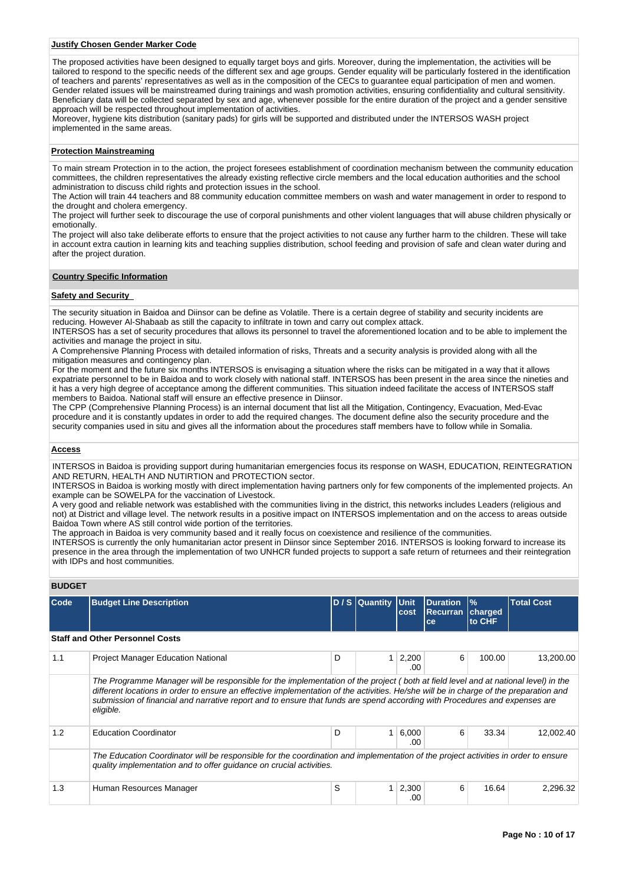### **Justify Chosen Gender Marker Code**

The proposed activities have been designed to equally target boys and girls. Moreover, during the implementation, the activities will be tailored to respond to the specific needs of the different sex and age groups. Gender equality will be particularly fostered in the identification of teachers and parents' representatives as well as in the composition of the CECs to guarantee equal participation of men and women. Gender related issues will be mainstreamed during trainings and wash promotion activities, ensuring confidentiality and cultural sensitivity. Beneficiary data will be collected separated by sex and age, whenever possible for the entire duration of the project and a gender sensitive approach will be respected throughout implementation of activities.

Moreover, hygiene kits distribution (sanitary pads) for girls will be supported and distributed under the INTERSOS WASH project implemented in the same areas.

#### **Protection Mainstreaming**

To main stream Protection in to the action, the project foresees establishment of coordination mechanism between the community education committees, the children representatives the already existing reflective circle members and the local education authorities and the school administration to discuss child rights and protection issues in the school.

The Action will train 44 teachers and 88 community education committee members on wash and water management in order to respond to the drought and cholera emergency.

The project will further seek to discourage the use of corporal punishments and other violent languages that will abuse children physically or emotionally.

The project will also take deliberate efforts to ensure that the project activities to not cause any further harm to the children. These will take in account extra caution in learning kits and teaching supplies distribution, school feeding and provision of safe and clean water during and after the project duration.

#### **Country Specific Information**

## **Safety and Security**

The security situation in Baidoa and Diinsor can be define as Volatile. There is a certain degree of stability and security incidents are reducing. However Al-Shabaab as still the capacity to infiltrate in town and carry out complex attack.

INTERSOS has a set of security procedures that allows its personnel to travel the aforementioned location and to be able to implement the activities and manage the project in situ.

A Comprehensive Planning Process with detailed information of risks, Threats and a security analysis is provided along with all the mitigation measures and contingency plan.

For the moment and the future six months INTERSOS is envisaging a situation where the risks can be mitigated in a way that it allows expatriate personnel to be in Baidoa and to work closely with national staff. INTERSOS has been present in the area since the nineties and it has a very high degree of acceptance among the different communities. This situation indeed facilitate the access of INTERSOS staff members to Baidoa. National staff will ensure an effective presence in Diinsor.

The CPP (Comprehensive Planning Process) is an internal document that list all the Mitigation, Contingency, Evacuation, Med-Evac procedure and it is constantly updates in order to add the required changes. The document define also the security procedure and the security companies used in situ and gives all the information about the procedures staff members have to follow while in Somalia.

## **Access**

INTERSOS in Baidoa is providing support during humanitarian emergencies focus its response on WASH, EDUCATION, REINTEGRATION AND RETURN, HEALTH AND NUTIRTION and PROTECTION sector.

INTERSOS in Baidoa is working mostly with direct implementation having partners only for few components of the implemented projects. An example can be SOWELPA for the vaccination of Livestock.

A very good and reliable network was established with the communities living in the district, this networks includes Leaders (religious and not) at District and village level. The network results in a positive impact on INTERSOS implementation and on the access to areas outside Baidoa Town where AS still control wide portion of the territories.

The approach in Baidoa is very community based and it really focus on coexistence and resilience of the communities.

INTERSOS is currently the only humanitarian actor present in Diinsor since September 2016. INTERSOS is looking forward to increase its presence in the area through the implementation of two UNHCR funded projects to support a safe return of returnees and their reintegration with IDPs and host communities.

## **BUDGET**

| Code | <b>Budget Line Description</b>                                                                                                                                                                                                                                                                                                                                                                                         |   | D / S Quantity | <b>Unit</b><br>cost   | Duration<br><b>Recurran</b><br>ce | $\frac{9}{6}$<br>charged<br>to CHF | <b>Total Cost</b> |
|------|------------------------------------------------------------------------------------------------------------------------------------------------------------------------------------------------------------------------------------------------------------------------------------------------------------------------------------------------------------------------------------------------------------------------|---|----------------|-----------------------|-----------------------------------|------------------------------------|-------------------|
|      | <b>Staff and Other Personnel Costs</b>                                                                                                                                                                                                                                                                                                                                                                                 |   |                |                       |                                   |                                    |                   |
| 1.1  | <b>Project Manager Education National</b>                                                                                                                                                                                                                                                                                                                                                                              | D |                | $1 \mid 2,200$<br>.00 | 6                                 | 100.00                             | 13,200.00         |
|      | The Programme Manager will be responsible for the implementation of the project (both at field level and at national level) in the<br>different locations in order to ensure an effective implementation of the activities. He/she will be in charge of the preparation and<br>submission of financial and narrative report and to ensure that funds are spend according with Procedures and expenses are<br>eligible. |   |                |                       |                                   |                                    |                   |
| 1.2  | <b>Education Coordinator</b>                                                                                                                                                                                                                                                                                                                                                                                           | D | 1              | 6,000<br>.00          | 6                                 | 33.34                              | 12,002.40         |
|      | The Education Coordinator will be responsible for the coordination and implementation of the project activities in order to ensure<br>quality implementation and to offer quidance on crucial activities.                                                                                                                                                                                                              |   |                |                       |                                   |                                    |                   |
| 1.3  | Human Resources Manager                                                                                                                                                                                                                                                                                                                                                                                                | S |                | $1 \mid 2,300$<br>.00 | 6                                 | 16.64                              | 2,296.32          |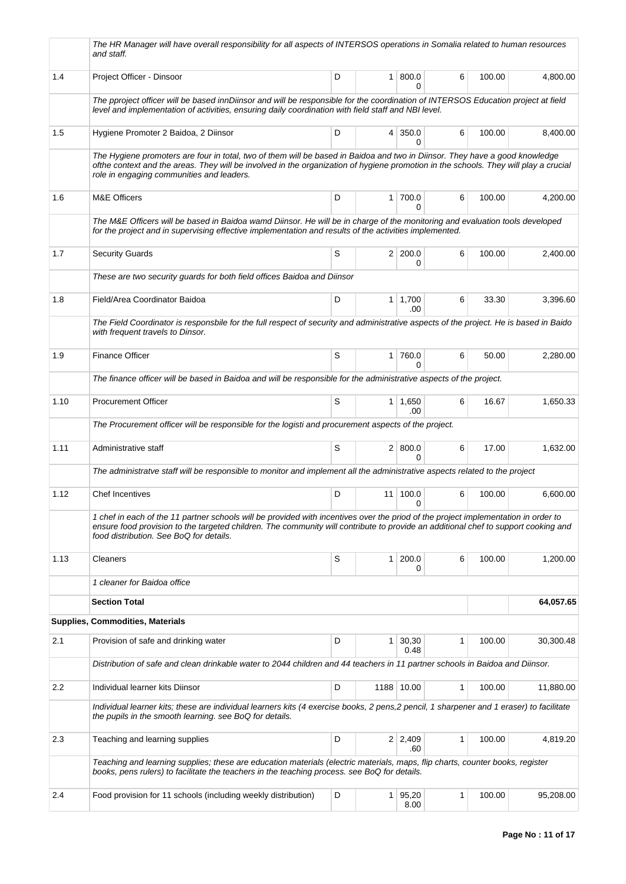|      | The HR Manager will have overall responsibility for all aspects of INTERSOS operations in Somalia related to human resources<br>and staff.                                                                                                                                                                          |   |                           |              |        |           |
|------|---------------------------------------------------------------------------------------------------------------------------------------------------------------------------------------------------------------------------------------------------------------------------------------------------------------------|---|---------------------------|--------------|--------|-----------|
| 1.4  | Project Officer - Dinsoor                                                                                                                                                                                                                                                                                           | D | 1   800.0<br>0            | 6            | 100.00 | 4,800.00  |
|      | The pproject officer will be based innDiinsor and will be responsible for the coordination of INTERSOS Education project at field<br>level and implementation of activities, ensuring daily coordination with field staff and NBI level.                                                                            |   |                           |              |        |           |
| 1.5  | Hygiene Promoter 2 Baidoa, 2 Diinsor                                                                                                                                                                                                                                                                                | D | $4 \mid 350.0$<br>0       | 6            | 100.00 | 8,400.00  |
|      | The Hygiene promoters are four in total, two of them will be based in Baidoa and two in Diinsor. They have a good knowledge<br>ofthe context and the areas. They will be involved in the organization of hygiene promotion in the schools. They will play a crucial<br>role in engaging communities and leaders.    |   |                           |              |        |           |
| 1.6  | <b>M&amp;E Officers</b>                                                                                                                                                                                                                                                                                             | D | $1$ 700.0<br><sup>0</sup> | 6            | 100.00 | 4,200.00  |
|      | The M&E Officers will be based in Baidoa wamd Diinsor. He will be in charge of the monitoring and evaluation tools developed<br>for the project and in supervising effective implementation and results of the activities implemented.                                                                              |   |                           |              |        |           |
| 1.7  | <b>Security Guards</b>                                                                                                                                                                                                                                                                                              | S | 2 200.0<br>0              | 6            | 100.00 | 2,400.00  |
|      | These are two security guards for both field offices Baidoa and Diinsor                                                                                                                                                                                                                                             |   |                           |              |        |           |
| 1.8  | Field/Area Coordinator Baidoa                                                                                                                                                                                                                                                                                       | D | $1 \mid 1,700$<br>.00     | 6            | 33.30  | 3,396.60  |
|      | The Field Coordinator is responsbile for the full respect of security and administrative aspects of the project. He is based in Baido<br>with frequent travels to Dinsor.                                                                                                                                           |   |                           |              |        |           |
| 1.9  | <b>Finance Officer</b>                                                                                                                                                                                                                                                                                              | S | 1 760.0<br>$\Omega$       | 6            | 50.00  | 2,280.00  |
|      | The finance officer will be based in Baidoa and will be responsible for the administrative aspects of the project.                                                                                                                                                                                                  |   |                           |              |        |           |
| 1.10 | <b>Procurement Officer</b>                                                                                                                                                                                                                                                                                          | S | $1 \mid 1,650$<br>.00     | 6            | 16.67  | 1,650.33  |
|      | The Procurement officer will be responsible for the logisti and procurement aspects of the project.                                                                                                                                                                                                                 |   |                           |              |        |           |
| 1.11 | Administrative staff                                                                                                                                                                                                                                                                                                | S | 2   800.0<br>$\Omega$     | 6            | 17.00  | 1,632.00  |
|      | The administratve staff will be responsible to monitor and implement all the administrative aspects related to the project                                                                                                                                                                                          |   |                           |              |        |           |
| 1.12 | <b>Chef Incentives</b>                                                                                                                                                                                                                                                                                              | D | 11 100.0<br>0             | 6            | 100.00 | 6,600.00  |
|      | 1 chef in each of the 11 partner schools will be provided with incentives over the priod of the project implementation in order to<br>ensure food provision to the targeted children. The community will contribute to provide an additional chef to support cooking and<br>food distribution. See BoQ for details. |   |                           |              |        |           |
| 1.13 | Cleaners                                                                                                                                                                                                                                                                                                            | S | $1 \, 200.0$<br>0         | 6            | 100.00 | 1,200.00  |
|      | 1 cleaner for Baidoa office                                                                                                                                                                                                                                                                                         |   |                           |              |        |           |
|      | <b>Section Total</b>                                                                                                                                                                                                                                                                                                |   |                           |              |        | 64,057.65 |
|      | <b>Supplies, Commodities, Materials</b>                                                                                                                                                                                                                                                                             |   |                           |              |        |           |
| 2.1  | Provision of safe and drinking water                                                                                                                                                                                                                                                                                | D | $1 \, 30,30$<br>0.48      | 1            | 100.00 | 30,300.48 |
|      | Distribution of safe and clean drinkable water to 2044 children and 44 teachers in 11 partner schools in Baidoa and Diinsor.                                                                                                                                                                                        |   |                           |              |        |           |
| 2.2  | Individual learner kits Diinsor                                                                                                                                                                                                                                                                                     | D | 1188 10.00                | $\mathbf{1}$ | 100.00 | 11,880.00 |
|      | Individual learner kits; these are individual learners kits (4 exercise books, 2 pens, 2 pencil, 1 sharpener and 1 eraser) to facilitate<br>the pupils in the smooth learning. see BoQ for details.                                                                                                                 |   |                           |              |        |           |
| 2.3  | Teaching and learning supplies                                                                                                                                                                                                                                                                                      | D | $2 \mid 2,409$<br>.60     | $\mathbf{1}$ | 100.00 | 4,819.20  |
|      | Teaching and learning supplies; these are education materials (electric materials, maps, flip charts, counter books, register<br>books, pens rulers) to facilitate the teachers in the teaching process. see BoQ for details.                                                                                       |   |                           |              |        |           |
| 2.4  | Food provision for 11 schools (including weekly distribution)                                                                                                                                                                                                                                                       | D | $1 \mid 95,20$<br>8.00    | 1            | 100.00 | 95,208.00 |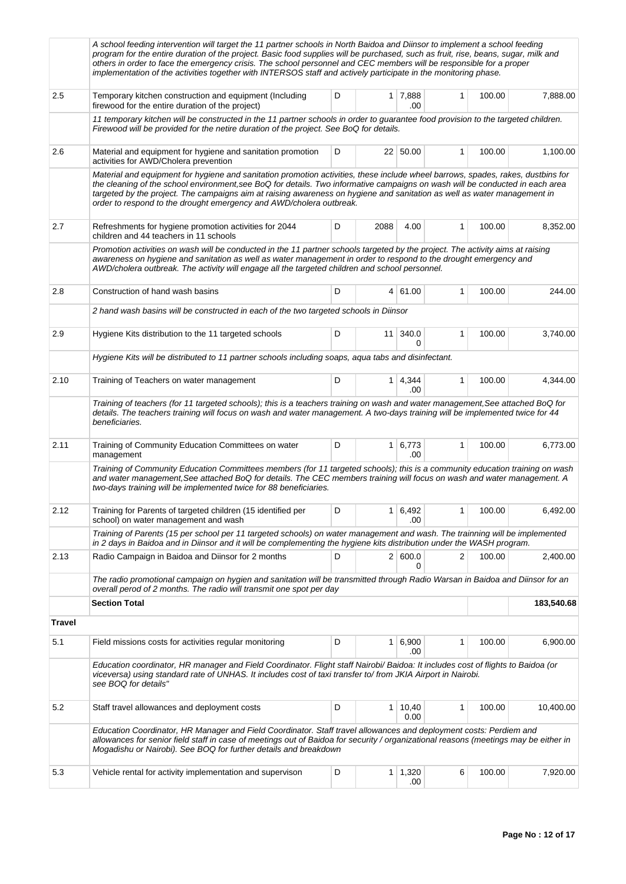|               | A school feeding intervention will target the 11 partner schools in North Baidoa and Diinsor to implement a school feeding<br>program for the entire duration of the project. Basic food supplies will be purchased, such as fruit, rise, beans, sugar, milk and<br>others in order to face the emergency crisis. The school personnel and CEC members will be responsible for a proper<br>implementation of the activities together with INTERSOS staff and actively participate in the monitoring phase. |   |                 |                        |              |        |           |  |  |
|---------------|------------------------------------------------------------------------------------------------------------------------------------------------------------------------------------------------------------------------------------------------------------------------------------------------------------------------------------------------------------------------------------------------------------------------------------------------------------------------------------------------------------|---|-----------------|------------------------|--------------|--------|-----------|--|--|
| 2.5           | Temporary kitchen construction and equipment (Including<br>firewood for the entire duration of the project)                                                                                                                                                                                                                                                                                                                                                                                                | D |                 | 1 7,888<br>.00         | 1            | 100.00 | 7,888.00  |  |  |
|               | 11 temporary kitchen will be constructed in the 11 partner schools in order to guarantee food provision to the targeted children.<br>Firewood will be provided for the netire duration of the project. See BoQ for details.                                                                                                                                                                                                                                                                                |   |                 |                        |              |        |           |  |  |
| 2.6           | Material and equipment for hygiene and sanitation promotion<br>activities for AWD/Cholera prevention                                                                                                                                                                                                                                                                                                                                                                                                       | D |                 | 22 50.00               | $\mathbf{1}$ | 100.00 | 1,100.00  |  |  |
|               | Material and equipment for hygiene and sanitation promotion activities, these include wheel barrows, spades, rakes, dustbins for<br>the cleaning of the school environment, see BoQ for details. Two informative campaigns on wash will be conducted in each area<br>targeted by the project. The campaigns aim at raising awareness on hygiene and sanitation as well as water management in<br>order to respond to the drought emergency and AWD/cholera outbreak.                                       |   |                 |                        |              |        |           |  |  |
| 2.7           | Refreshments for hygiene promotion activities for 2044<br>children and 44 teachers in 11 schools                                                                                                                                                                                                                                                                                                                                                                                                           | D | 2088            | 4.00                   | 1            | 100.00 | 8,352.00  |  |  |
|               | Promotion activities on wash will be conducted in the 11 partner schools targeted by the project. The activity aims at raising<br>awareness on hygiene and sanitation as well as water management in order to respond to the drought emergency and<br>AWD/cholera outbreak. The activity will engage all the targeted children and school personnel.                                                                                                                                                       |   |                 |                        |              |        |           |  |  |
| 2.8           | Construction of hand wash basins                                                                                                                                                                                                                                                                                                                                                                                                                                                                           | D |                 | 4 61.00                | $\mathbf{1}$ | 100.00 | 244.00    |  |  |
|               | 2 hand wash basins will be constructed in each of the two targeted schools in Diinsor                                                                                                                                                                                                                                                                                                                                                                                                                      |   |                 |                        |              |        |           |  |  |
| 2.9           | Hygiene Kits distribution to the 11 targeted schools                                                                                                                                                                                                                                                                                                                                                                                                                                                       | D | 11 <sup>1</sup> | 340.0<br>0             | 1            | 100.00 | 3,740.00  |  |  |
|               | Hygiene Kits will be distributed to 11 partner schools including soaps, aqua tabs and disinfectant.                                                                                                                                                                                                                                                                                                                                                                                                        |   |                 |                        |              |        |           |  |  |
| 2.10          | Training of Teachers on water management                                                                                                                                                                                                                                                                                                                                                                                                                                                                   | D |                 | $1 \mid 4,344$<br>.00  | $\mathbf{1}$ | 100.00 | 4,344.00  |  |  |
|               | Training of teachers (for 11 targeted schools); this is a teachers training on wash and water management, See attached BoQ for<br>details. The teachers training will focus on wash and water management. A two-days training will be implemented twice for 44<br>beneficiaries.                                                                                                                                                                                                                           |   |                 |                        |              |        |           |  |  |
| 2.11          | Training of Community Education Committees on water<br>management                                                                                                                                                                                                                                                                                                                                                                                                                                          | D |                 | $1 \vert 6.773$<br>.00 | $\mathbf{1}$ | 100.00 | 6,773.00  |  |  |
|               | Training of Community Education Committees members (for 11 targeted schools); this is a community education training on wash<br>and water management, See attached BoQ for details. The CEC members training will focus on wash and water management. A<br>two-days training will be implemented twice for 88 beneficiaries.                                                                                                                                                                               |   |                 |                        |              |        |           |  |  |
| 2.12          | Training for Parents of targeted children (15 identified per<br>school) on water management and wash                                                                                                                                                                                                                                                                                                                                                                                                       | D | 1               | 6,492<br>.00           | 1            | 100.00 | 6,492.00  |  |  |
|               | Training of Parents (15 per school per 11 targeted schools) on water management and wash. The trainning will be implemented<br>in 2 days in Baidoa and in Diinsor and it will be complementing the hygiene kits distribution under the WASH program.                                                                                                                                                                                                                                                       |   |                 |                        |              |        |           |  |  |
| 2.13          | Radio Campaign in Baidoa and Diinsor for 2 months                                                                                                                                                                                                                                                                                                                                                                                                                                                          | D |                 | 2   600.0<br>0         | 2            | 100.00 | 2,400.00  |  |  |
|               | The radio promotional campaign on hygien and sanitation will be transmitted through Radio Warsan in Baidoa and Diinsor for an<br>overall perod of 2 months. The radio will transmit one spot per day                                                                                                                                                                                                                                                                                                       |   |                 |                        |              |        |           |  |  |
|               | <b>Section Total</b>                                                                                                                                                                                                                                                                                                                                                                                                                                                                                       |   | 183,540.68      |                        |              |        |           |  |  |
| <b>Travel</b> |                                                                                                                                                                                                                                                                                                                                                                                                                                                                                                            |   |                 |                        |              |        |           |  |  |
| 5.1           | Field missions costs for activities regular monitoring                                                                                                                                                                                                                                                                                                                                                                                                                                                     | D |                 | $1 \ 6.900$<br>.00     | 1            | 100.00 | 6,900.00  |  |  |
|               | Education coordinator, HR manager and Field Coordinator. Flight staff Nairobi/ Baidoa: It includes cost of flights to Baidoa (or<br>viceversa) using standard rate of UNHAS. It includes cost of taxi transfer to/from JKIA Airport in Nairobi.<br>see BOQ for details"                                                                                                                                                                                                                                    |   |                 |                        |              |        |           |  |  |
| 5.2           | Staff travel allowances and deployment costs                                                                                                                                                                                                                                                                                                                                                                                                                                                               | D | 1 <sup>1</sup>  | 10,40<br>0.00          | 1            | 100.00 | 10,400.00 |  |  |
|               | Education Coordinator, HR Manager and Field Coordinator. Staff travel allowances and deployment costs: Perdiem and<br>allowances for senior field staff in case of meetings out of Baidoa for security / organizational reasons (meetings may be either in<br>Mogadishu or Nairobi). See BOQ for further details and breakdown                                                                                                                                                                             |   |                 |                        |              |        |           |  |  |
| 5.3           | Vehicle rental for activity implementation and supervison                                                                                                                                                                                                                                                                                                                                                                                                                                                  | D |                 | $1 \mid 1,320$<br>.00  | 6            | 100.00 | 7,920.00  |  |  |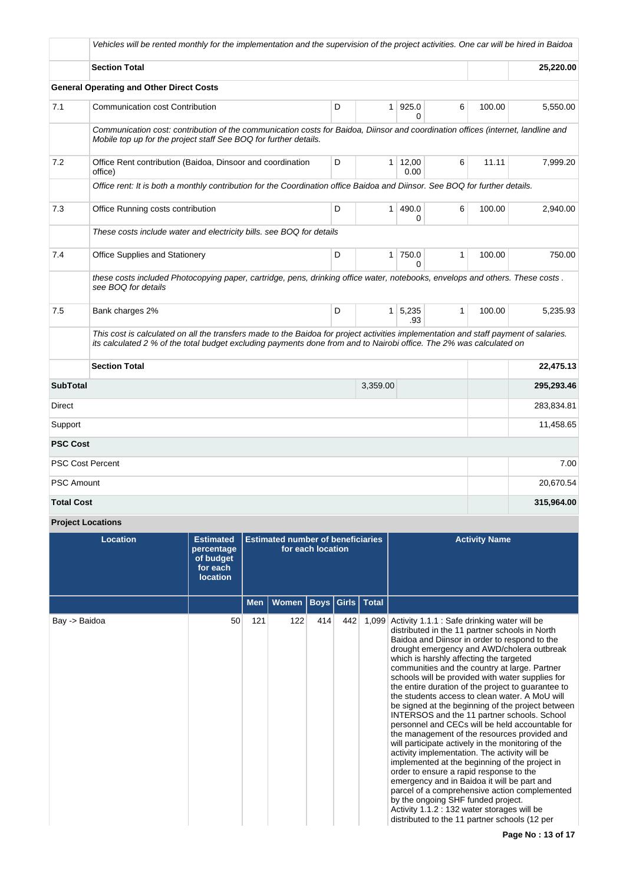|                   | Vehicles will be rented monthly for the implementation and the supervision of the project activities. One car will be hired in Baidoa                                                                                                                       |   |                |                       |              |        |            |
|-------------------|-------------------------------------------------------------------------------------------------------------------------------------------------------------------------------------------------------------------------------------------------------------|---|----------------|-----------------------|--------------|--------|------------|
|                   | <b>Section Total</b>                                                                                                                                                                                                                                        |   |                |                       |              |        | 25,220.00  |
|                   | <b>General Operating and Other Direct Costs</b>                                                                                                                                                                                                             |   |                |                       |              |        |            |
| 7.1               | Communication cost Contribution                                                                                                                                                                                                                             | D | 1 <sup>1</sup> | 925.0<br>0            | 6            | 100.00 | 5,550.00   |
|                   | Communication cost: contribution of the communication costs for Baidoa, Diinsor and coordination offices (internet, landline and<br>Mobile top up for the project staff See BOQ for further details.                                                        |   |                |                       |              |        |            |
| 7.2               | Office Rent contribution (Baidoa, Dinsoor and coordination<br>office)                                                                                                                                                                                       | D | 1 <sup>1</sup> | 12,00<br>0.00         | 6            | 11.11  | 7,999.20   |
|                   | Office rent: It is both a monthly contribution for the Coordination office Baidoa and Diinsor. See BOQ for further details.                                                                                                                                 |   |                |                       |              |        |            |
| 7.3               | Office Running costs contribution                                                                                                                                                                                                                           | D | $\mathbf{1}$   | 490.0<br>0            | 6            | 100.00 | 2,940.00   |
|                   | These costs include water and electricity bills. see BOQ for details                                                                                                                                                                                        |   |                |                       |              |        |            |
| 7.4               | Office Supplies and Stationery                                                                                                                                                                                                                              | D | 1 <sup>1</sup> | 750.0<br>$\Omega$     | 1            | 100.00 | 750.00     |
|                   | these costs included Photocopying paper, cartridge, pens, drinking office water, notebooks, envelops and others. These costs.<br>see BOQ for details                                                                                                        |   |                |                       |              |        |            |
| 7.5               | Bank charges 2%                                                                                                                                                                                                                                             | D |                | $1 \mid 5,235$<br>.93 | $\mathbf{1}$ | 100.00 | 5,235.93   |
|                   | This cost is calculated on all the transfers made to the Baidoa for project activities implementation and staff payment of salaries.<br>its calculated 2 % of the total budget excluding payments done from and to Nairobi office. The 2% was calculated on |   |                |                       |              |        |            |
|                   | <b>Section Total</b>                                                                                                                                                                                                                                        |   |                |                       |              |        | 22,475.13  |
| <b>SubTotal</b>   |                                                                                                                                                                                                                                                             |   | 3,359.00       |                       |              |        | 295,293.46 |
| Direct            |                                                                                                                                                                                                                                                             |   |                |                       |              |        | 283,834.81 |
| Support           |                                                                                                                                                                                                                                                             |   |                |                       |              |        | 11,458.65  |
| <b>PSC Cost</b>   |                                                                                                                                                                                                                                                             |   |                |                       |              |        |            |
|                   | <b>PSC Cost Percent</b>                                                                                                                                                                                                                                     |   |                |                       |              |        | 7.00       |
| <b>PSC Amount</b> |                                                                                                                                                                                                                                                             |   |                |                       |              |        | 20,670.54  |
| <b>Total Cost</b> |                                                                                                                                                                                                                                                             |   |                |                       |              |        | 315,964.00 |

# **Project Locations**

| <b>Location</b> | <b>Estimated</b><br>percentage<br>of budget<br>for each<br><b>location</b> | <b>Estimated number of beneficiaries</b><br>for each location |       |     |                  |       | <b>Activity Name</b>                                                                                                                                                                                                                                                                                                                                                                                                                                                                                                                                                                                                                                                                                                                                                                                                                                                                                                                                                                                                                                                                                   |
|-----------------|----------------------------------------------------------------------------|---------------------------------------------------------------|-------|-----|------------------|-------|--------------------------------------------------------------------------------------------------------------------------------------------------------------------------------------------------------------------------------------------------------------------------------------------------------------------------------------------------------------------------------------------------------------------------------------------------------------------------------------------------------------------------------------------------------------------------------------------------------------------------------------------------------------------------------------------------------------------------------------------------------------------------------------------------------------------------------------------------------------------------------------------------------------------------------------------------------------------------------------------------------------------------------------------------------------------------------------------------------|
|                 |                                                                            | <b>Men</b>                                                    | Women |     | Boys Girls Total |       |                                                                                                                                                                                                                                                                                                                                                                                                                                                                                                                                                                                                                                                                                                                                                                                                                                                                                                                                                                                                                                                                                                        |
| Bay -> Baidoa   | 50                                                                         | 121                                                           | 122   | 414 | 442              | 1,099 | Activity 1.1.1 : Safe drinking water will be<br>distributed in the 11 partner schools in North<br>Baidoa and Diinsor in order to respond to the<br>drought emergency and AWD/cholera outbreak<br>which is harshly affecting the targeted<br>communities and the country at large. Partner<br>schools will be provided with water supplies for<br>the entire duration of the project to guarantee to<br>the students access to clean water. A MoU will<br>be signed at the beginning of the project between<br>INTERSOS and the 11 partner schools. School<br>personnel and CECs will be held accountable for<br>the management of the resources provided and<br>will participate actively in the monitoring of the<br>activity implementation. The activity will be<br>implemented at the beginning of the project in<br>order to ensure a rapid response to the<br>emergency and in Baidoa it will be part and<br>parcel of a comprehensive action complemented<br>by the ongoing SHF funded project.<br>Activity 1.1.2 : 132 water storages will be<br>distributed to the 11 partner schools (12 per |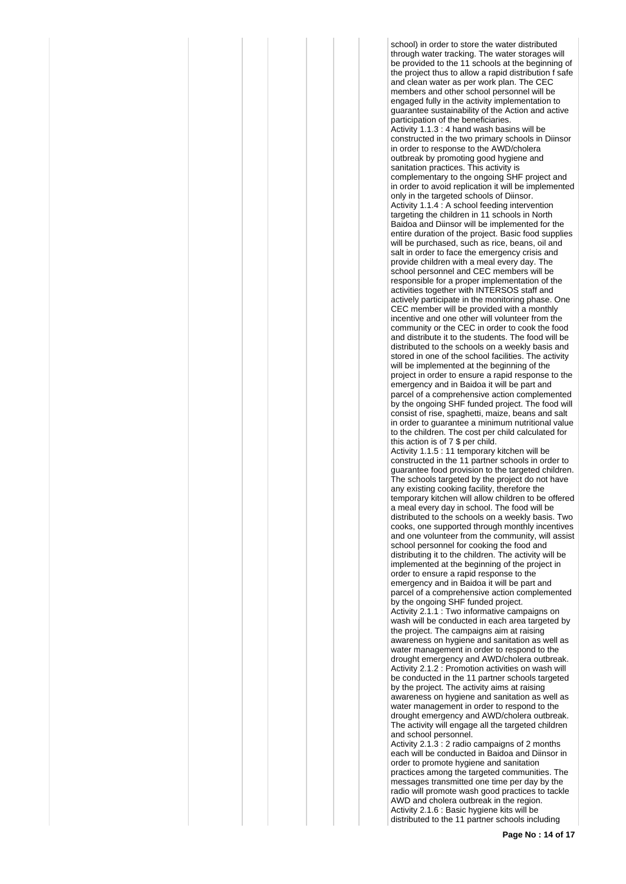school) in order to store the water distributed through water tracking. The water storages will be provided to the 11 schools at the beginning of the project thus to allow a rapid distribution f safe and clean water as per work plan. The CEC members and other school personnel will be engaged fully in the activity implementation to guarantee sustainability of the Action and active participation of the beneficiaries. Activity 1.1.3 : 4 hand wash basins will be constructed in the two primary schools in Diinsor in order to response to the AWD/cholera outbreak by promoting good hygiene and sanitation practices. This activity is complementary to the ongoing SHF project and in order to avoid replication it will be implemented only in the targeted schools of Diinsor. Activity 1.1.4 : A school feeding intervention targeting the children in 11 schools in North Baidoa and Diinsor will be implemented for the entire duration of the project. Basic food supplies will be purchased, such as rice, beans, oil and salt in order to face the emergency crisis and provide children with a meal every day. The school personnel and CEC members will be responsible for a proper implementation of the activities together with INTERSOS staff and actively participate in the monitoring phase. One CEC member will be provided with a monthly incentive and one other will volunteer from the community or the CEC in order to cook the food and distribute it to the students. The food will be distributed to the schools on a weekly basis and stored in one of the school facilities. The activity will be implemented at the beginning of the project in order to ensure a rapid response to the emergency and in Baidoa it will be part and parcel of a comprehensive action complemented by the ongoing SHF funded project. The food will consist of rise, spaghetti, maize, beans and salt in order to guarantee a minimum nutritional value to the children. The cost per child calculated for this action is of 7 \$ per child. Activity 1.1.5 : 11 temporary kitchen will be constructed in the 11 partner schools in order to guarantee food provision to the targeted children. The schools targeted by the project do not have any existing cooking facility, therefore the temporary kitchen will allow children to be offered a meal every day in school. The food will be distributed to the schools on a weekly basis. Two cooks, one supported through monthly incentives and one volunteer from the community, will assist school personnel for cooking the food and distributing it to the children. The activity will be implemented at the beginning of the project in order to ensure a rapid response to the emergency and in Baidoa it will be part and parcel of a comprehensive action complemented by the ongoing SHF funded project. Activity 2.1.1 : Two informative campaigns on wash will be conducted in each area targeted by the project. The campaigns aim at raising awareness on hygiene and sanitation as well as water management in order to respond to the drought emergency and AWD/cholera outbreak. Activity 2.1.2 : Promotion activities on wash will be conducted in the 11 partner schools targeted by the project. The activity aims at raising awareness on hygiene and sanitation as well as water management in order to respond to the drought emergency and AWD/cholera outbreak. The activity will engage all the targeted children and school personnel. Activity 2.1.3 : 2 radio campaigns of 2 months each will be conducted in Baidoa and Diinsor in

order to promote hygiene and sanitation practices among the targeted communities. The messages transmitted one time per day by the radio will promote wash good practices to tackle AWD and cholera outbreak in the region. Activity 2.1.6 : Basic hygiene kits will be distributed to the 11 partner schools including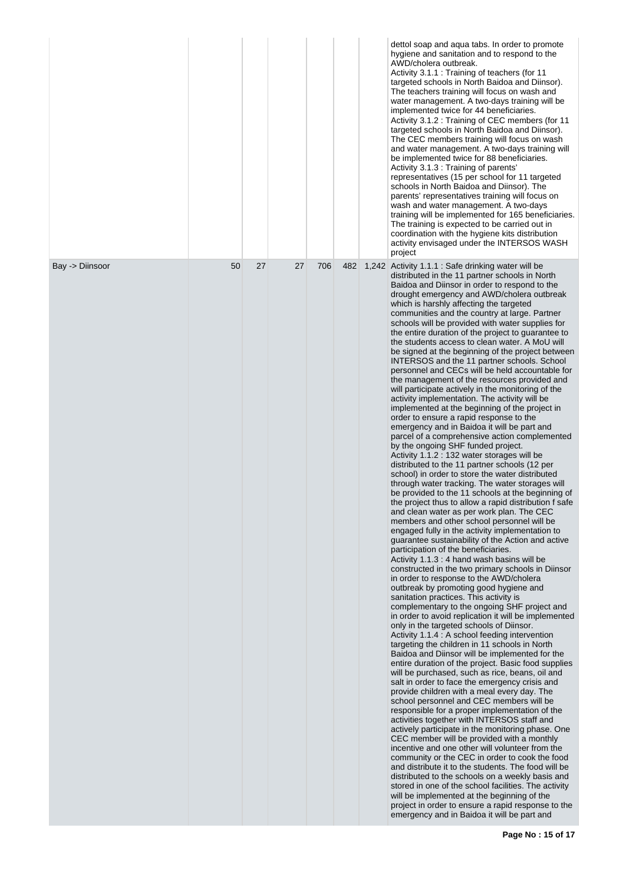|                 |    |    |    |     |     | dettol soap and aqua tabs. In order to promote<br>hygiene and sanitation and to respond to the<br>AWD/cholera outbreak.<br>Activity 3.1.1 : Training of teachers (for 11<br>targeted schools in North Baidoa and Diinsor).<br>The teachers training will focus on wash and<br>water management. A two-days training will be<br>implemented twice for 44 beneficiaries.<br>Activity 3.1.2 : Training of CEC members (for 11<br>targeted schools in North Baidoa and Diinsor).<br>The CEC members training will focus on wash<br>and water management. A two-days training will<br>be implemented twice for 88 beneficiaries.<br>Activity 3.1.3 : Training of parents'<br>representatives (15 per school for 11 targeted<br>schools in North Baidoa and Diinsor). The<br>parents' representatives training will focus on<br>wash and water management. A two-days<br>training will be implemented for 165 beneficiaries.<br>The training is expected to be carried out in<br>coordination with the hygiene kits distribution<br>activity envisaged under the INTERSOS WASH<br>project                                                                                                                                                                                                                                                                                                                                                                                                                                                                                                                                                                                                                                                                                                                                                                                                                                                                                                                                                                                                                                                                                                                                                                                                                                                                                                                                                                                                                                                                                                                                                                                                                                                                                                                                                                                                                                                                                                                           |
|-----------------|----|----|----|-----|-----|---------------------------------------------------------------------------------------------------------------------------------------------------------------------------------------------------------------------------------------------------------------------------------------------------------------------------------------------------------------------------------------------------------------------------------------------------------------------------------------------------------------------------------------------------------------------------------------------------------------------------------------------------------------------------------------------------------------------------------------------------------------------------------------------------------------------------------------------------------------------------------------------------------------------------------------------------------------------------------------------------------------------------------------------------------------------------------------------------------------------------------------------------------------------------------------------------------------------------------------------------------------------------------------------------------------------------------------------------------------------------------------------------------------------------------------------------------------------------------------------------------------------------------------------------------------------------------------------------------------------------------------------------------------------------------------------------------------------------------------------------------------------------------------------------------------------------------------------------------------------------------------------------------------------------------------------------------------------------------------------------------------------------------------------------------------------------------------------------------------------------------------------------------------------------------------------------------------------------------------------------------------------------------------------------------------------------------------------------------------------------------------------------------------------------------------------------------------------------------------------------------------------------------------------------------------------------------------------------------------------------------------------------------------------------------------------------------------------------------------------------------------------------------------------------------------------------------------------------------------------------------------------------------------------------------------------------------------------------------------------------------------|
| Bay -> Diinsoor | 50 | 27 | 27 | 706 | 482 | 1,242 Activity 1.1.1 : Safe drinking water will be<br>distributed in the 11 partner schools in North<br>Baidoa and Diinsor in order to respond to the<br>drought emergency and AWD/cholera outbreak<br>which is harshly affecting the targeted<br>communities and the country at large. Partner<br>schools will be provided with water supplies for<br>the entire duration of the project to guarantee to<br>the students access to clean water. A MoU will<br>be signed at the beginning of the project between<br>INTERSOS and the 11 partner schools. School<br>personnel and CECs will be held accountable for<br>the management of the resources provided and<br>will participate actively in the monitoring of the<br>activity implementation. The activity will be<br>implemented at the beginning of the project in<br>order to ensure a rapid response to the<br>emergency and in Baidoa it will be part and<br>parcel of a comprehensive action complemented<br>by the ongoing SHF funded project.<br>Activity 1.1.2 : 132 water storages will be<br>distributed to the 11 partner schools (12 per<br>school) in order to store the water distributed<br>through water tracking. The water storages will<br>be provided to the 11 schools at the beginning of<br>the project thus to allow a rapid distribution f safe<br>and clean water as per work plan. The CEC<br>members and other school personnel will be<br>engaged fully in the activity implementation to<br>guarantee sustainability of the Action and active<br>participation of the beneficiaries.<br>Activity 1.1.3 : 4 hand wash basins will be<br>constructed in the two primary schools in Diinsor<br>in order to response to the AWD/cholera<br>outbreak by promoting good hygiene and<br>sanitation practices. This activity is<br>complementary to the ongoing SHF project and<br>in order to avoid replication it will be implemented<br>only in the targeted schools of Diinsor.<br>Activity 1.1.4 : A school feeding intervention<br>targeting the children in 11 schools in North<br>Baidoa and Diinsor will be implemented for the<br>entire duration of the project. Basic food supplies<br>will be purchased, such as rice, beans, oil and<br>salt in order to face the emergency crisis and<br>provide children with a meal every day. The<br>school personnel and CEC members will be<br>responsible for a proper implementation of the<br>activities together with INTERSOS staff and<br>actively participate in the monitoring phase. One<br>CEC member will be provided with a monthly<br>incentive and one other will volunteer from the<br>community or the CEC in order to cook the food<br>and distribute it to the students. The food will be<br>distributed to the schools on a weekly basis and<br>stored in one of the school facilities. The activity<br>will be implemented at the beginning of the<br>project in order to ensure a rapid response to the<br>emergency and in Baidoa it will be part and |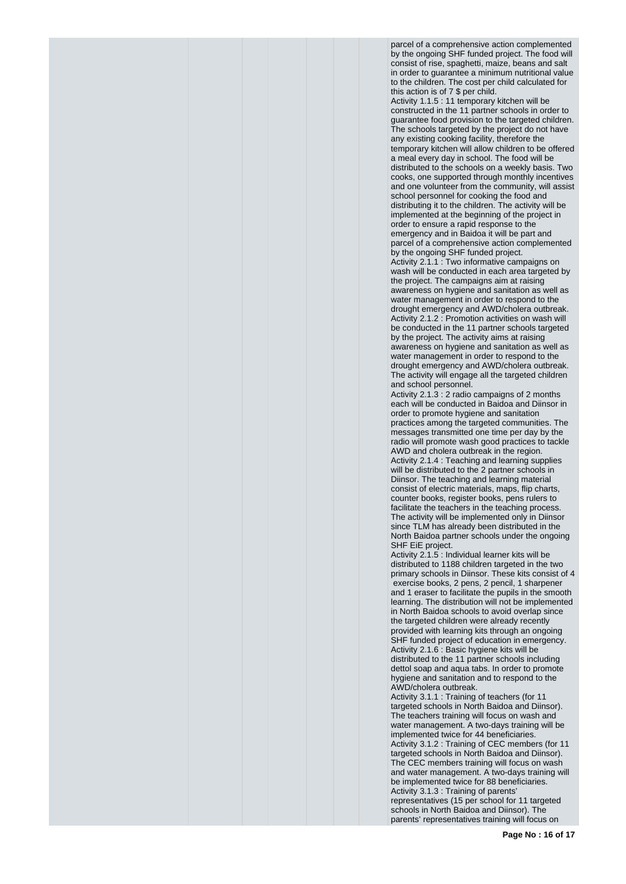parcel of a comprehensive action complemented by the ongoing SHF funded project. The food will consist of rise, spaghetti, maize, beans and salt in order to guarantee a minimum nutritional value to the children. The cost per child calculated for this action is of 7 \$ per child. Activity 1.1.5 : 11 temporary kitchen will be constructed in the 11 partner schools in order to guarantee food provision to the targeted children. The schools targeted by the project do not have any existing cooking facility, therefore the temporary kitchen will allow children to be offered a meal every day in school. The food will be distributed to the schools on a weekly basis. Two cooks, one supported through monthly incentives and one volunteer from the community, will assist school personnel for cooking the food and distributing it to the children. The activity will be implemented at the beginning of the project in order to ensure a rapid response to the emergency and in Baidoa it will be part and parcel of a comprehensive action complemented by the ongoing SHF funded project. Activity 2.1.1 : Two informative campaigns on wash will be conducted in each area targeted by the project. The campaigns aim at raising awareness on hygiene and sanitation as well as water management in order to respond to the drought emergency and AWD/cholera outbreak. Activity 2.1.2 : Promotion activities on wash will be conducted in the 11 partner schools targeted by the project. The activity aims at raising awareness on hygiene and sanitation as well as water management in order to respond to the drought emergency and AWD/cholera outbreak. The activity will engage all the targeted children and school personnel.

Activity 2.1.3 : 2 radio campaigns of 2 months each will be conducted in Baidoa and Diinsor in order to promote hygiene and sanitation practices among the targeted communities. The messages transmitted one time per day by the radio will promote wash good practices to tackle AWD and cholera outbreak in the region. Activity 2.1.4 : Teaching and learning supplies will be distributed to the 2 partner schools in Diinsor. The teaching and learning material consist of electric materials, maps, flip charts, counter books, register books, pens rulers to facilitate the teachers in the teaching process. The activity will be implemented only in Diinsor since TLM has already been distributed in the North Baidoa partner schools under the ongoing SHF EiE project.

Activity 2.1.5 : Individual learner kits will be distributed to 1188 children targeted in the two primary schools in Diinsor. These kits consist of 4 exercise books, 2 pens, 2 pencil, 1 sharpener and 1 eraser to facilitate the pupils in the smooth learning. The distribution will not be implemented in North Baidoa schools to avoid overlap since the targeted children were already recently provided with learning kits through an ongoing SHF funded project of education in emergency. Activity 2.1.6 : Basic hygiene kits will be distributed to the 11 partner schools including dettol soap and aqua tabs. In order to promote hygiene and sanitation and to respond to the AWD/cholera outbreak.

Activity 3.1.1 : Training of teachers (for 11 targeted schools in North Baidoa and Diinsor). The teachers training will focus on wash and water management. A two-days training will be implemented twice for 44 beneficiaries. Activity 3.1.2 : Training of CEC members (for 11 targeted schools in North Baidoa and Diinsor). The CEC members training will focus on wash and water management. A two-days training will be implemented twice for 88 beneficiaries. Activity 3.1.3 : Training of parents' representatives (15 per school for 11 targeted schools in North Baidoa and Diinsor). The parents' representatives training will focus on